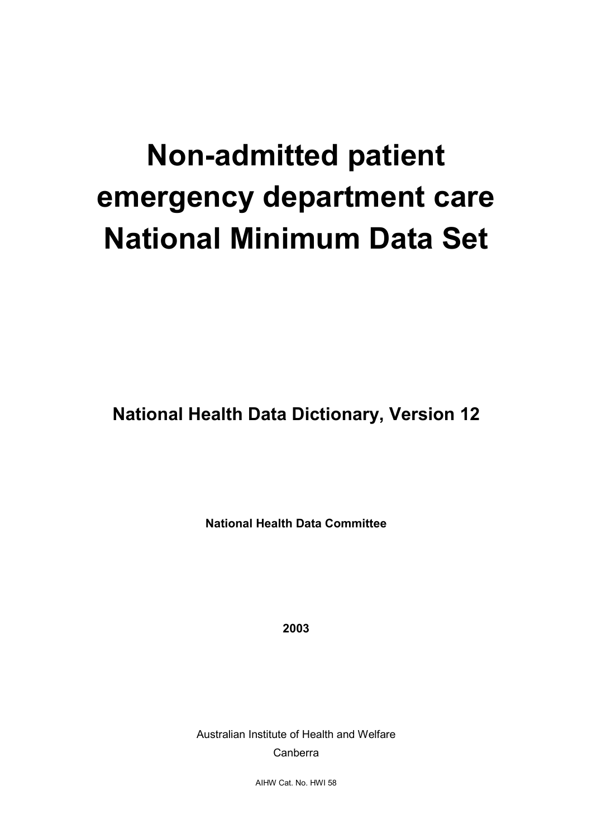# **Non-admitted patient emergency department care National Minimum Data Set**

**National Health Data Dictionary, Version 12**

**National Health Data Committee**

**2003**

Australian Institute of Health and Welfare Canberra

AIHW Cat. No. HWI 58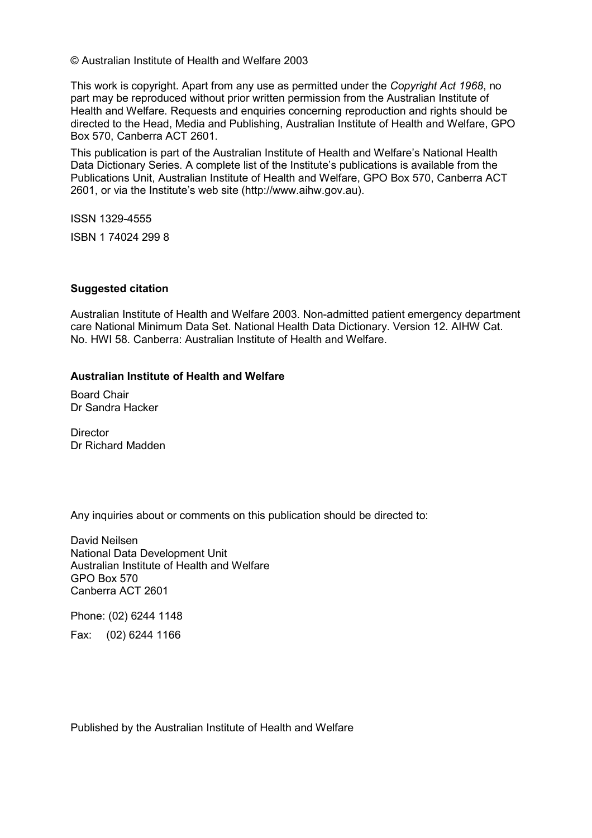© Australian Institute of Health and Welfare 2003

This work is copyright. Apart from any use as permitted under the *Copyright Act 1968*, no part may be reproduced without prior written permission from the Australian Institute of Health and Welfare. Requests and enquiries concerning reproduction and rights should be directed to the Head, Media and Publishing, Australian Institute of Health and Welfare, GPO Box 570, Canberra ACT 2601.

This publication is part of the Australian Institute of Health and Welfare's National Health Data Dictionary Series. A complete list of the Institute's publications is available from the Publications Unit, Australian Institute of Health and Welfare, GPO Box 570, Canberra ACT 2601, or via the Institute's web site (http://www.aihw.gov.au).

ISSN 1329-4555

ISBN 1 74024 299 8

#### **Suggested citation**

Australian Institute of Health and Welfare 2003. Non-admitted patient emergency department care National Minimum Data Set. National Health Data Dictionary. Version 12. AIHW Cat. No. HWI 58. Canberra: Australian Institute of Health and Welfare.

#### **Australian Institute of Health and Welfare**

Board Chair Dr Sandra Hacker

**Director** Dr Richard Madden

Any inquiries about or comments on this publication should be directed to:

David Neilsen National Data Development Unit Australian Institute of Health and Welfare GPO Box 570 Canberra ACT 2601

Phone: (02) 6244 1148 Fax: (02) 6244 1166

Published by the Australian Institute of Health and Welfare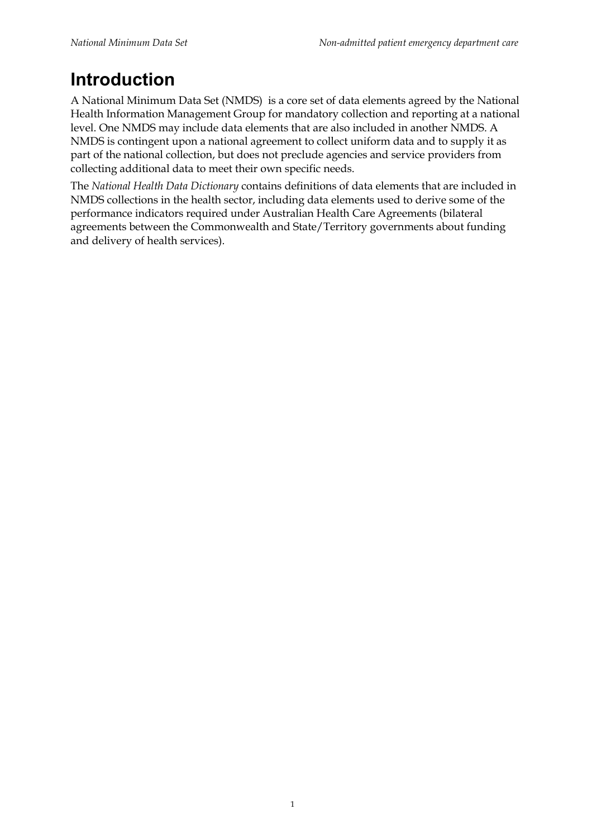# **Introduction**

A National Minimum Data Set (NMDS) is a core set of data elements agreed by the National Health Information Management Group for mandatory collection and reporting at a national level. One NMDS may include data elements that are also included in another NMDS. A NMDS is contingent upon a national agreement to collect uniform data and to supply it as part of the national collection, but does not preclude agencies and service providers from collecting additional data to meet their own specific needs.

The *National Health Data Dictionary* contains definitions of data elements that are included in NMDS collections in the health sector, including data elements used to derive some of the performance indicators required under Australian Health Care Agreements (bilateral agreements between the Commonwealth and State/Territory governments about funding and delivery of health services).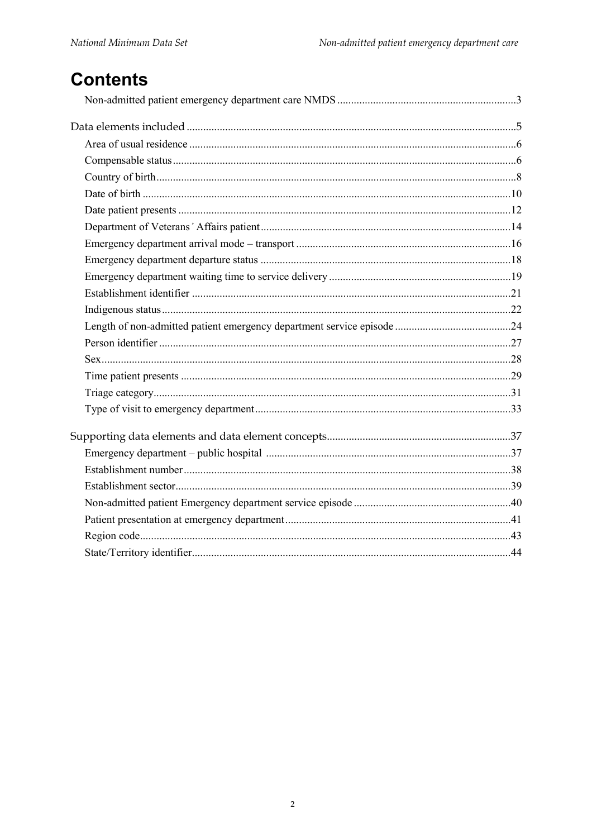# **Contents**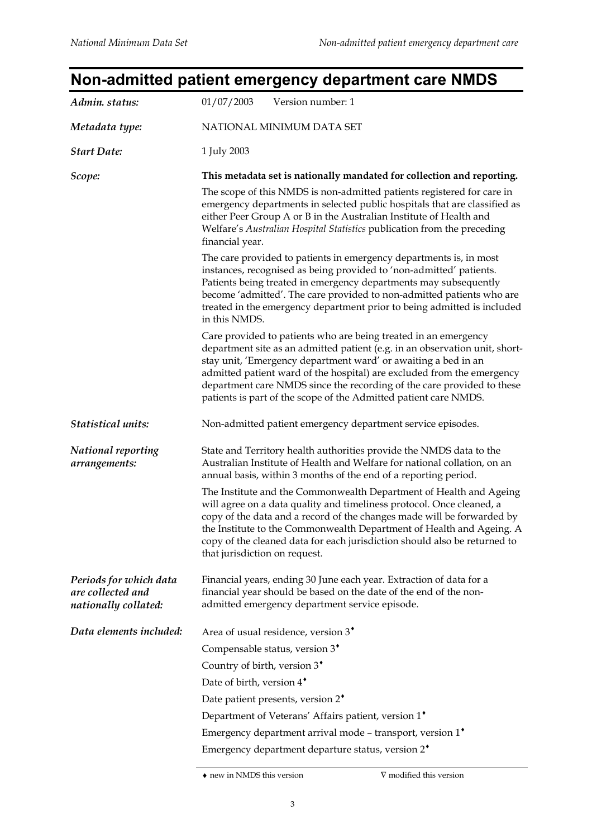# **Non-admitted patient emergency department care NMDS**

| Admin. status:                                                      | 01/07/2003<br>Version number: 1                                                                                                                                                                                                                                                                                                                                                                                                          |  |  |  |
|---------------------------------------------------------------------|------------------------------------------------------------------------------------------------------------------------------------------------------------------------------------------------------------------------------------------------------------------------------------------------------------------------------------------------------------------------------------------------------------------------------------------|--|--|--|
| Metadata type:                                                      | NATIONAL MINIMUM DATA SET                                                                                                                                                                                                                                                                                                                                                                                                                |  |  |  |
| <b>Start Date:</b>                                                  | 1 July 2003                                                                                                                                                                                                                                                                                                                                                                                                                              |  |  |  |
| Scope:                                                              | This metadata set is nationally mandated for collection and reporting.                                                                                                                                                                                                                                                                                                                                                                   |  |  |  |
|                                                                     | The scope of this NMDS is non-admitted patients registered for care in<br>emergency departments in selected public hospitals that are classified as<br>either Peer Group A or B in the Australian Institute of Health and<br>Welfare's Australian Hospital Statistics publication from the preceding<br>financial year.                                                                                                                  |  |  |  |
|                                                                     | The care provided to patients in emergency departments is, in most<br>instances, recognised as being provided to 'non-admitted' patients.<br>Patients being treated in emergency departments may subsequently<br>become 'admitted'. The care provided to non-admitted patients who are<br>treated in the emergency department prior to being admitted is included<br>in this NMDS.                                                       |  |  |  |
|                                                                     | Care provided to patients who are being treated in an emergency<br>department site as an admitted patient (e.g. in an observation unit, short-<br>stay unit, 'Emergency department ward' or awaiting a bed in an<br>admitted patient ward of the hospital) are excluded from the emergency<br>department care NMDS since the recording of the care provided to these<br>patients is part of the scope of the Admitted patient care NMDS. |  |  |  |
| Statistical units:                                                  | Non-admitted patient emergency department service episodes.                                                                                                                                                                                                                                                                                                                                                                              |  |  |  |
| <b>National reporting</b><br>arrangements:                          | State and Territory health authorities provide the NMDS data to the<br>Australian Institute of Health and Welfare for national collation, on an<br>annual basis, within 3 months of the end of a reporting period.                                                                                                                                                                                                                       |  |  |  |
|                                                                     | The Institute and the Commonwealth Department of Health and Ageing<br>will agree on a data quality and timeliness protocol. Once cleaned, a<br>copy of the data and a record of the changes made will be forwarded by<br>the Institute to the Commonwealth Department of Health and Ageing. A<br>copy of the cleaned data for each jurisdiction should also be returned to<br>that jurisdiction on request.                              |  |  |  |
| Periods for which data<br>are collected and<br>nationally collated: | Financial years, ending 30 June each year. Extraction of data for a<br>financial year should be based on the date of the end of the non-<br>admitted emergency department service episode.                                                                                                                                                                                                                                               |  |  |  |
| Data elements included:                                             | Area of usual residence, version 3 <sup>*</sup>                                                                                                                                                                                                                                                                                                                                                                                          |  |  |  |
|                                                                     | Compensable status, version 3 <sup>*</sup>                                                                                                                                                                                                                                                                                                                                                                                               |  |  |  |
|                                                                     | Country of birth, version 3 <sup>*</sup>                                                                                                                                                                                                                                                                                                                                                                                                 |  |  |  |
|                                                                     | Date of birth, version 4*                                                                                                                                                                                                                                                                                                                                                                                                                |  |  |  |
|                                                                     | Date patient presents, version 2 <sup>*</sup>                                                                                                                                                                                                                                                                                                                                                                                            |  |  |  |
|                                                                     | Department of Veterans' Affairs patient, version 1 <sup>*</sup>                                                                                                                                                                                                                                                                                                                                                                          |  |  |  |
|                                                                     | Emergency department arrival mode - transport, version 1*                                                                                                                                                                                                                                                                                                                                                                                |  |  |  |
|                                                                     | Emergency department departure status, version 2 <sup>*</sup>                                                                                                                                                                                                                                                                                                                                                                            |  |  |  |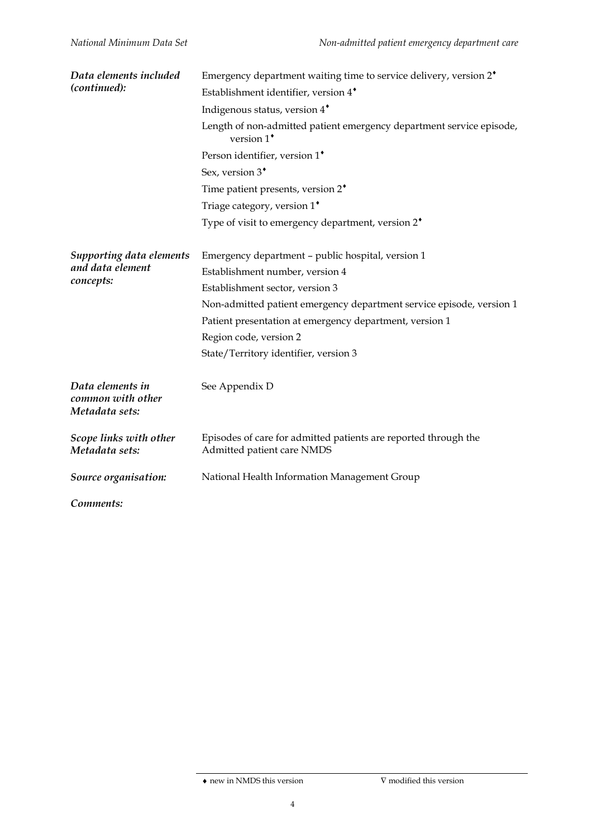| Data elements included                                  | Emergency department waiting time to service delivery, version $2^*$                          |
|---------------------------------------------------------|-----------------------------------------------------------------------------------------------|
| (continued):                                            | Establishment identifier, version 4*                                                          |
|                                                         | Indigenous status, version 4 <sup>*</sup>                                                     |
|                                                         | Length of non-admitted patient emergency department service episode,<br>version $1^*$         |
|                                                         | Person identifier, version 1*                                                                 |
|                                                         | Sex, version 3 <sup>*</sup>                                                                   |
|                                                         | Time patient presents, version 2 <sup>*</sup>                                                 |
|                                                         | Triage category, version 1*                                                                   |
|                                                         | Type of visit to emergency department, version 2 <sup>*</sup>                                 |
| Supporting data elements                                | Emergency department - public hospital, version 1                                             |
| and data element                                        | Establishment number, version 4                                                               |
| concepts:                                               | Establishment sector, version 3                                                               |
|                                                         | Non-admitted patient emergency department service episode, version 1                          |
|                                                         | Patient presentation at emergency department, version 1                                       |
|                                                         | Region code, version 2                                                                        |
|                                                         | State/Territory identifier, version 3                                                         |
| Data elements in<br>common with other<br>Metadata sets: | See Appendix D                                                                                |
| Scope links with other<br>Metadata sets:                | Episodes of care for admitted patients are reported through the<br>Admitted patient care NMDS |
| Source organisation:                                    | National Health Information Management Group                                                  |
| Comments:                                               |                                                                                               |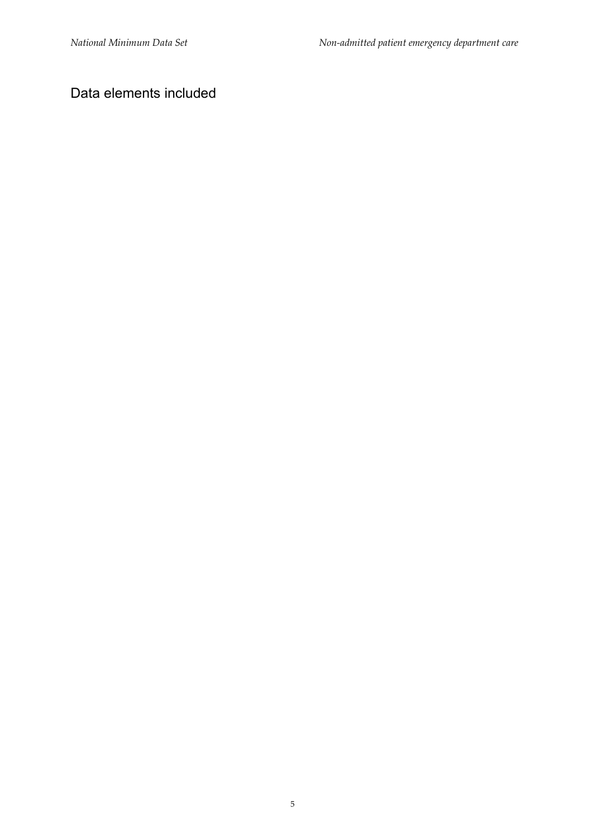#### Data elements included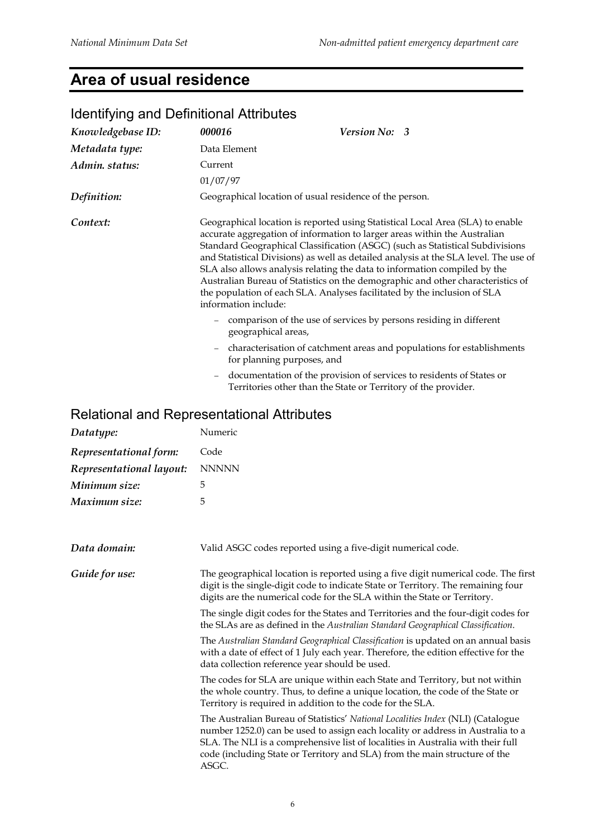# **Area of usual residence**

| Knowledgebase ID: | 000016                                                  | Version No: 3                                                                                                                                                                                                                                                                                                                                                                                                                                                                                                                                                                    |
|-------------------|---------------------------------------------------------|----------------------------------------------------------------------------------------------------------------------------------------------------------------------------------------------------------------------------------------------------------------------------------------------------------------------------------------------------------------------------------------------------------------------------------------------------------------------------------------------------------------------------------------------------------------------------------|
| Metadata type:    | Data Element                                            |                                                                                                                                                                                                                                                                                                                                                                                                                                                                                                                                                                                  |
| Admin. status:    | Current                                                 |                                                                                                                                                                                                                                                                                                                                                                                                                                                                                                                                                                                  |
|                   | 01/07/97                                                |                                                                                                                                                                                                                                                                                                                                                                                                                                                                                                                                                                                  |
| Definition:       | Geographical location of usual residence of the person. |                                                                                                                                                                                                                                                                                                                                                                                                                                                                                                                                                                                  |
| Context:          | information include:                                    | Geographical location is reported using Statistical Local Area (SLA) to enable<br>accurate aggregation of information to larger areas within the Australian<br>Standard Geographical Classification (ASGC) (such as Statistical Subdivisions<br>and Statistical Divisions) as well as detailed analysis at the SLA level. The use of<br>SLA also allows analysis relating the data to information compiled by the<br>Australian Bureau of Statistics on the demographic and other characteristics of<br>the population of each SLA. Analyses facilitated by the inclusion of SLA |
|                   | geographical areas,                                     | comparison of the use of services by persons residing in different                                                                                                                                                                                                                                                                                                                                                                                                                                                                                                               |
|                   | $\overline{\phantom{m}}$<br>for planning purposes, and  | characterisation of catchment areas and populations for establishments                                                                                                                                                                                                                                                                                                                                                                                                                                                                                                           |
|                   | $\overline{\phantom{m}}$                                | documentation of the provision of services to residents of States or<br>Territories other than the State or Territory of the provider.                                                                                                                                                                                                                                                                                                                                                                                                                                           |

#### Identifying and Definitional Attributes

| Datatype:                | Numeric                                                                                                                                                                                                                                                                                                                                      |  |
|--------------------------|----------------------------------------------------------------------------------------------------------------------------------------------------------------------------------------------------------------------------------------------------------------------------------------------------------------------------------------------|--|
| Representational form:   | Code                                                                                                                                                                                                                                                                                                                                         |  |
| Representational layout: | <b>NNNNN</b>                                                                                                                                                                                                                                                                                                                                 |  |
| Minimum size:            | 5                                                                                                                                                                                                                                                                                                                                            |  |
| Maximum size:            | 5                                                                                                                                                                                                                                                                                                                                            |  |
| Data domain:             | Valid ASGC codes reported using a five-digit numerical code.                                                                                                                                                                                                                                                                                 |  |
| Guide for use:           | The geographical location is reported using a five digit numerical code. The first<br>digit is the single-digit code to indicate State or Territory. The remaining four<br>digits are the numerical code for the SLA within the State or Territory.                                                                                          |  |
|                          | The single digit codes for the States and Territories and the four-digit codes for<br>the SLAs are as defined in the Australian Standard Geographical Classification.                                                                                                                                                                        |  |
|                          | The Australian Standard Geographical Classification is updated on an annual basis<br>with a date of effect of 1 July each year. Therefore, the edition effective for the<br>data collection reference year should be used.                                                                                                                   |  |
|                          | The codes for SLA are unique within each State and Territory, but not within<br>the whole country. Thus, to define a unique location, the code of the State or<br>Territory is required in addition to the code for the SLA.                                                                                                                 |  |
|                          | The Australian Bureau of Statistics' National Localities Index (NLI) (Catalogue<br>number 1252.0) can be used to assign each locality or address in Australia to a<br>SLA. The NLI is a comprehensive list of localities in Australia with their full<br>code (including State or Territory and SLA) from the main structure of the<br>ASGC. |  |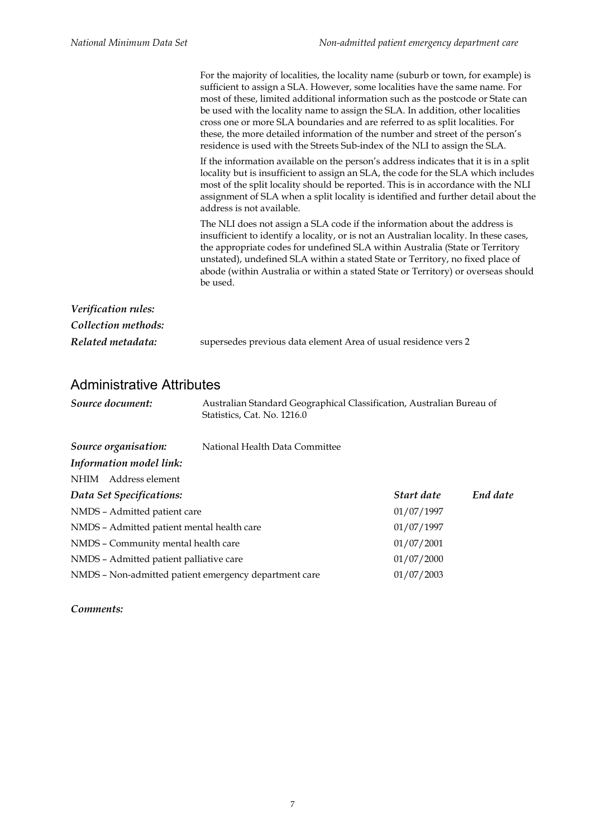|                     | For the majority of localities, the locality name (suburb or town, for example) is<br>sufficient to assign a SLA. However, some localities have the same name. For<br>most of these, limited additional information such as the postcode or State can<br>be used with the locality name to assign the SLA. In addition, other localities<br>cross one or more SLA boundaries and are referred to as split localities. For<br>these, the more detailed information of the number and street of the person's<br>residence is used with the Streets Sub-index of the NLI to assign the SLA. |
|---------------------|------------------------------------------------------------------------------------------------------------------------------------------------------------------------------------------------------------------------------------------------------------------------------------------------------------------------------------------------------------------------------------------------------------------------------------------------------------------------------------------------------------------------------------------------------------------------------------------|
|                     | If the information available on the person's address indicates that it is in a split<br>locality but is insufficient to assign an SLA, the code for the SLA which includes<br>most of the split locality should be reported. This is in accordance with the NLI<br>assignment of SLA when a split locality is identified and further detail about the<br>address is not available.                                                                                                                                                                                                       |
|                     | The NLI does not assign a SLA code if the information about the address is<br>insufficient to identify a locality, or is not an Australian locality. In these cases,<br>the appropriate codes for undefined SLA within Australia (State or Territory<br>unstated), undefined SLA within a stated State or Territory, no fixed place of<br>abode (within Australia or within a stated State or Territory) or overseas should<br>be used.                                                                                                                                                  |
| Verification rules: |                                                                                                                                                                                                                                                                                                                                                                                                                                                                                                                                                                                          |
| Collection methods: |                                                                                                                                                                                                                                                                                                                                                                                                                                                                                                                                                                                          |
| Related metadata:   | supersedes previous data element Area of usual residence vers 2                                                                                                                                                                                                                                                                                                                                                                                                                                                                                                                          |

#### Administrative Attributes

| Source document: | Australian Standard Geographical Classification, Australian Bureau of |
|------------------|-----------------------------------------------------------------------|
|                  | Statistics, Cat. No. 1216.0                                           |

| Source organisation:                                  | National Health Data Committee |            |          |
|-------------------------------------------------------|--------------------------------|------------|----------|
| Information model link:                               |                                |            |          |
| NHIM Address element                                  |                                |            |          |
| Data Set Specifications:                              |                                | Start date | End date |
| NMDS - Admitted patient care                          |                                | 01/07/1997 |          |
| NMDS - Admitted patient mental health care            |                                | 01/07/1997 |          |
| NMDS - Community mental health care                   |                                | 01/07/2001 |          |
| NMDS - Admitted patient palliative care               |                                | 01/07/2000 |          |
| NMDS - Non-admitted patient emergency department care |                                | 01/07/2003 |          |

#### *Comments:*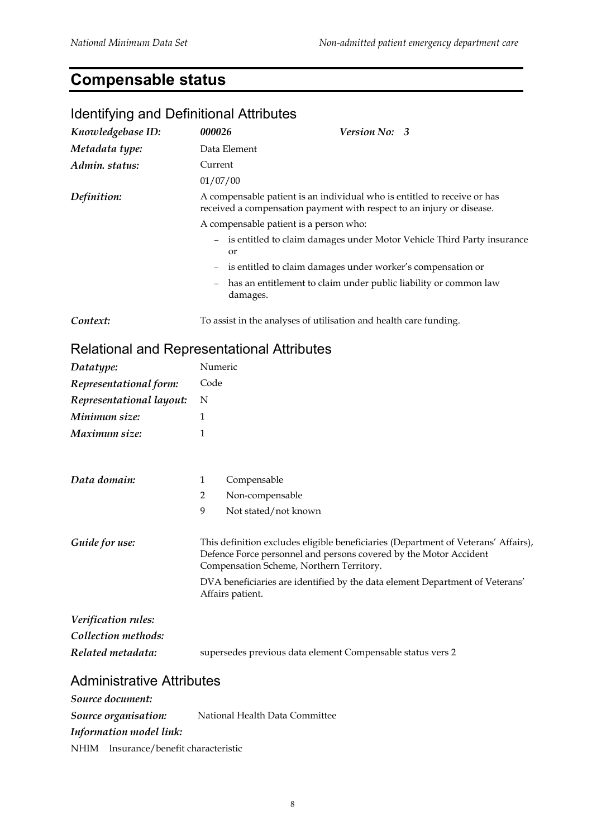# **Compensable status**

| <b>Rentifying and Definitional Attributes</b> |                   |                      |                                                                                                                                                                                                     |
|-----------------------------------------------|-------------------|----------------------|-----------------------------------------------------------------------------------------------------------------------------------------------------------------------------------------------------|
| Knowledgebase ID:                             | 000026            |                      | Version No: 3                                                                                                                                                                                       |
| Metadata type:                                |                   | Data Element         |                                                                                                                                                                                                     |
| Admin. status:                                | Current           |                      |                                                                                                                                                                                                     |
|                                               | 01/07/00          |                      |                                                                                                                                                                                                     |
| Definition:                                   |                   |                      | A compensable patient is an individual who is entitled to receive or has<br>received a compensation payment with respect to an injury or disease.                                                   |
|                                               |                   |                      | A compensable patient is a person who:                                                                                                                                                              |
|                                               |                   | or                   | is entitled to claim damages under Motor Vehicle Third Party insurance                                                                                                                              |
|                                               |                   |                      | is entitled to claim damages under worker's compensation or                                                                                                                                         |
|                                               | $\qquad \qquad -$ | damages.             | has an entitlement to claim under public liability or common law                                                                                                                                    |
| Context:                                      |                   |                      | To assist in the analyses of utilisation and health care funding.                                                                                                                                   |
| Relational and Representational Attributes    |                   |                      |                                                                                                                                                                                                     |
| Datatype:                                     | Numeric           |                      |                                                                                                                                                                                                     |
| Representational form:                        | Code              |                      |                                                                                                                                                                                                     |
| Representational layout:                      | N                 |                      |                                                                                                                                                                                                     |
| Minimum size:                                 | 1                 |                      |                                                                                                                                                                                                     |
| Maximum size:                                 | 1                 |                      |                                                                                                                                                                                                     |
| Data domain:                                  | 1                 | Compensable          |                                                                                                                                                                                                     |
|                                               | 2                 | Non-compensable      |                                                                                                                                                                                                     |
|                                               | 9                 | Not stated/not known |                                                                                                                                                                                                     |
| Guide for use:                                |                   |                      | This definition excludes eligible beneficiaries (Department of Veterans' Affairs),<br>Defence Force personnel and persons covered by the Motor Accident<br>Compensation Scheme, Northern Territory. |
|                                               |                   | Affairs patient.     | DVA beneficiaries are identified by the data element Department of Veterans'                                                                                                                        |
| Verification rules:                           |                   |                      |                                                                                                                                                                                                     |
| Collection methods:                           |                   |                      |                                                                                                                                                                                                     |
| Related metadata:                             |                   |                      | supersedes previous data element Compensable status vers 2                                                                                                                                          |
| <b>Administrative Attributes</b>              |                   |                      |                                                                                                                                                                                                     |
| Source document:                              |                   |                      |                                                                                                                                                                                                     |
|                                               |                   |                      |                                                                                                                                                                                                     |

*Source organisation:* National Health Data Committee *Information model link:* NHIM Insurance/benefit characteristic

#### Identifying and Definitional Attributes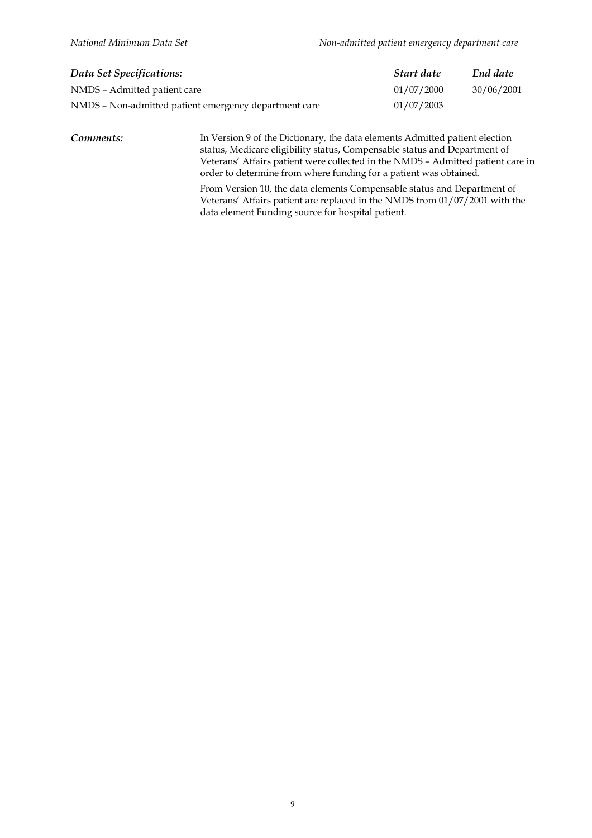| Data Set Specifications:                              | Start date | End date   |
|-------------------------------------------------------|------------|------------|
| NMDS - Admitted patient care                          | 01/07/2000 | 30/06/2001 |
| NMDS - Non-admitted patient emergency department care | 01/07/2003 |            |

*Comments:* In Version 9 of the Dictionary, the data elements Admitted patient election status, Medicare eligibility status, Compensable status and Department of Veterans' Affairs patient were collected in the NMDS – Admitted patient care in order to determine from where funding for a patient was obtained.

> From Version 10, the data elements Compensable status and Department of Veterans' Affairs patient are replaced in the NMDS from 01/07/2001 with the data element Funding source for hospital patient.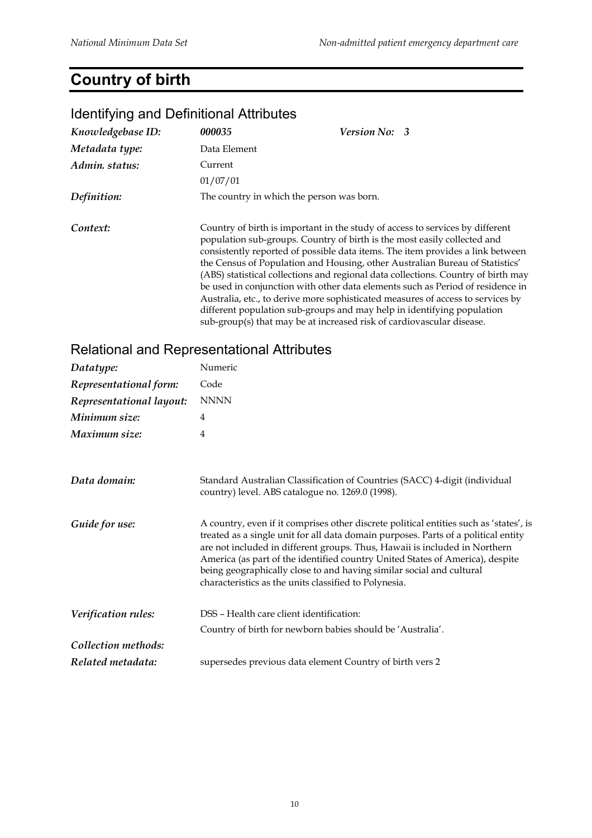# **Country of birth**

#### *Knowledgebase ID: 000035 Version No: 3 Metadata type:* Data Element *Admin. status:* Current 01/07/01 *Definition:* The country in which the person was born. **Context:** Country of birth is important in the study of access to services by different population sub-groups. Country of birth is the most easily collected and consistently reported of possible data items. The item provides a link between the Census of Population and Housing, other Australian Bureau of Statistics' (ABS) statistical collections and regional data collections. Country of birth may be used in conjunction with other data elements such as Period of residence in Australia, etc., to derive more sophisticated measures of access to services by different population sub-groups and may help in identifying population sub-group(s) that may be at increased risk of cardiovascular disease.

#### Identifying and Definitional Attributes

| Datatype:                | Numeric                                                                                                                                                                                                                                                                                                                                                                                                                                                                      |
|--------------------------|------------------------------------------------------------------------------------------------------------------------------------------------------------------------------------------------------------------------------------------------------------------------------------------------------------------------------------------------------------------------------------------------------------------------------------------------------------------------------|
| Representational form:   | Code                                                                                                                                                                                                                                                                                                                                                                                                                                                                         |
| Representational layout: | <b>NNNN</b>                                                                                                                                                                                                                                                                                                                                                                                                                                                                  |
| Minimum size:            | 4                                                                                                                                                                                                                                                                                                                                                                                                                                                                            |
| Maximum size:            | 4                                                                                                                                                                                                                                                                                                                                                                                                                                                                            |
| Data domain:             | Standard Australian Classification of Countries (SACC) 4-digit (individual<br>country) level. ABS catalogue no. 1269.0 (1998).                                                                                                                                                                                                                                                                                                                                               |
| Guide for use:           | A country, even if it comprises other discrete political entities such as 'states', is<br>treated as a single unit for all data domain purposes. Parts of a political entity<br>are not included in different groups. Thus, Hawaii is included in Northern<br>America (as part of the identified country United States of America), despite<br>being geographically close to and having similar social and cultural<br>characteristics as the units classified to Polynesia. |
| Verification rules:      | DSS - Health care client identification:                                                                                                                                                                                                                                                                                                                                                                                                                                     |
|                          | Country of birth for newborn babies should be 'Australia'.                                                                                                                                                                                                                                                                                                                                                                                                                   |
| Collection methods:      |                                                                                                                                                                                                                                                                                                                                                                                                                                                                              |
| Related metadata:        | supersedes previous data element Country of birth vers 2                                                                                                                                                                                                                                                                                                                                                                                                                     |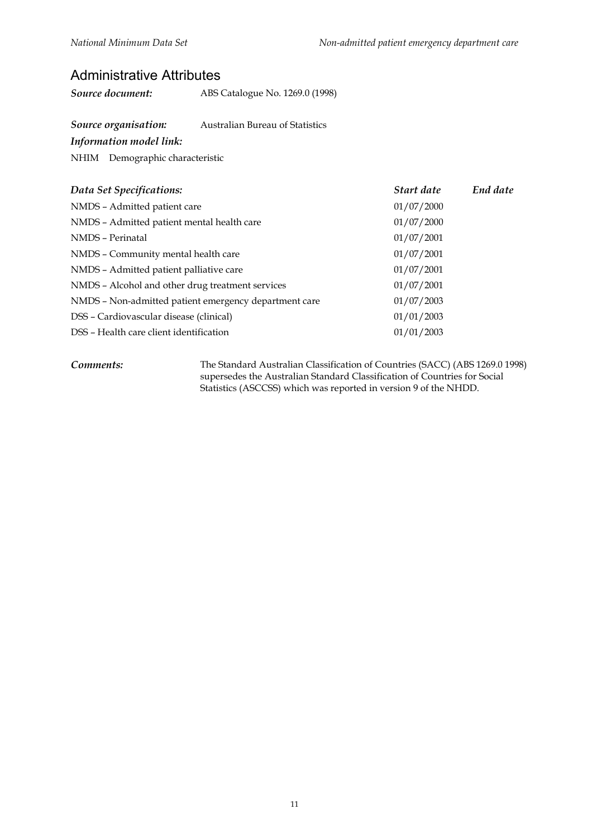#### Administrative Attributes

*Source document:* ABS Catalogue No. 1269.0 (1998)

*Source organisation:* Australian Bureau of Statistics

*Information model link:*

NHIM Demographic characteristic

| Data Set Specifications:                              | Start date | End date |
|-------------------------------------------------------|------------|----------|
| NMDS - Admitted patient care                          | 01/07/2000 |          |
| NMDS - Admitted patient mental health care            | 01/07/2000 |          |
| NMDS - Perinatal                                      | 01/07/2001 |          |
| NMDS - Community mental health care                   | 01/07/2001 |          |
| NMDS - Admitted patient palliative care               | 01/07/2001 |          |
| NMDS - Alcohol and other drug treatment services      | 01/07/2001 |          |
| NMDS - Non-admitted patient emergency department care | 01/07/2003 |          |
| DSS - Cardiovascular disease (clinical)               | 01/01/2003 |          |
| DSS - Health care client identification               | 01/01/2003 |          |

*Comments:* The Standard Australian Classification of Countries (SACC) (ABS 1269.0 1998) supersedes the Australian Standard Classification of Countries for Social Statistics (ASCCSS) which was reported in version 9 of the NHDD.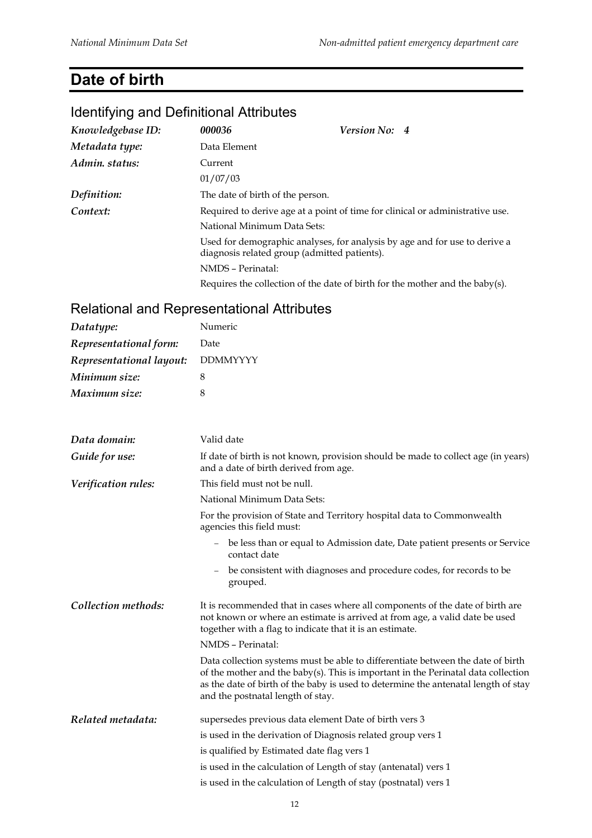# **Date of birth**

# Identifying and Definitional Attributes

| Knowledgebase ID: | 000036                                                                        | <b>Version No: 4</b>                                                             |  |  |
|-------------------|-------------------------------------------------------------------------------|----------------------------------------------------------------------------------|--|--|
| Metadata type:    | Data Element                                                                  |                                                                                  |  |  |
| Admin. status:    | Current                                                                       |                                                                                  |  |  |
|                   | 01/07/03                                                                      |                                                                                  |  |  |
| Definition:       | The date of birth of the person.                                              |                                                                                  |  |  |
| Context:          | Required to derive age at a point of time for clinical or administrative use. |                                                                                  |  |  |
|                   | National Minimum Data Sets:                                                   |                                                                                  |  |  |
|                   | diagnosis related group (admitted patients).                                  | Used for demographic analyses, for analysis by age and for use to derive a       |  |  |
|                   | NMDS - Perinatal:                                                             |                                                                                  |  |  |
|                   |                                                                               | Requires the collection of the date of birth for the mother and the baby $(s)$ . |  |  |

| Datatype:                | Numeric                                                                                                                                                                                                                                                                                         |  |  |
|--------------------------|-------------------------------------------------------------------------------------------------------------------------------------------------------------------------------------------------------------------------------------------------------------------------------------------------|--|--|
| Representational form:   | Date                                                                                                                                                                                                                                                                                            |  |  |
| Representational layout: | <b>DDMMYYYY</b>                                                                                                                                                                                                                                                                                 |  |  |
| Minimum size:            | 8                                                                                                                                                                                                                                                                                               |  |  |
| Maximum size:            | 8                                                                                                                                                                                                                                                                                               |  |  |
| Data domain:             | Valid date                                                                                                                                                                                                                                                                                      |  |  |
| Guide for use:           | If date of birth is not known, provision should be made to collect age (in years)<br>and a date of birth derived from age.                                                                                                                                                                      |  |  |
| Verification rules:      | This field must not be null.                                                                                                                                                                                                                                                                    |  |  |
|                          | National Minimum Data Sets:                                                                                                                                                                                                                                                                     |  |  |
|                          | For the provision of State and Territory hospital data to Commonwealth<br>agencies this field must:                                                                                                                                                                                             |  |  |
|                          | - be less than or equal to Admission date, Date patient presents or Service<br>contact date                                                                                                                                                                                                     |  |  |
|                          | be consistent with diagnoses and procedure codes, for records to be<br>$\overline{\phantom{a}}$<br>grouped.                                                                                                                                                                                     |  |  |
| Collection methods:      | It is recommended that in cases where all components of the date of birth are<br>not known or where an estimate is arrived at from age, a valid date be used<br>together with a flag to indicate that it is an estimate.                                                                        |  |  |
|                          | NMDS - Perinatal:                                                                                                                                                                                                                                                                               |  |  |
|                          | Data collection systems must be able to differentiate between the date of birth<br>of the mother and the baby(s). This is important in the Perinatal data collection<br>as the date of birth of the baby is used to determine the antenatal length of stay<br>and the postnatal length of stay. |  |  |
| Related metadata:        | supersedes previous data element Date of birth vers 3                                                                                                                                                                                                                                           |  |  |
|                          | is used in the derivation of Diagnosis related group vers 1                                                                                                                                                                                                                                     |  |  |
|                          | is qualified by Estimated date flag vers 1                                                                                                                                                                                                                                                      |  |  |
|                          | is used in the calculation of Length of stay (antenatal) vers 1                                                                                                                                                                                                                                 |  |  |
|                          | is used in the calculation of Length of stay (postnatal) vers 1                                                                                                                                                                                                                                 |  |  |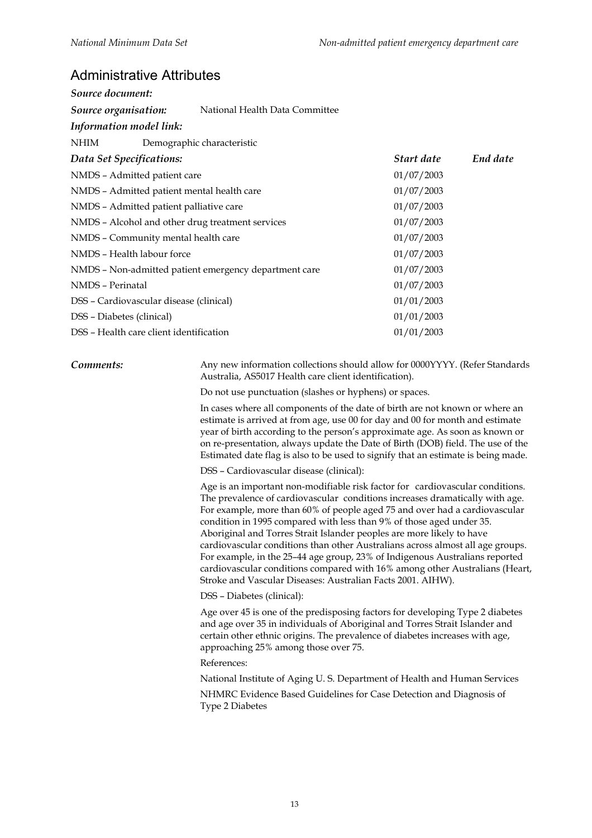#### Administrative Attributes

| Source document:                                      |                                |            |          |
|-------------------------------------------------------|--------------------------------|------------|----------|
| Source organisation:                                  | National Health Data Committee |            |          |
| Information model link:                               |                                |            |          |
| NHIM                                                  | Demographic characteristic     |            |          |
| Data Set Specifications:                              |                                | Start date | End date |
| NMDS - Admitted patient care                          |                                | 01/07/2003 |          |
| NMDS - Admitted patient mental health care            |                                | 01/07/2003 |          |
| NMDS - Admitted patient palliative care               |                                | 01/07/2003 |          |
| NMDS - Alcohol and other drug treatment services      |                                | 01/07/2003 |          |
| NMDS - Community mental health care                   |                                | 01/07/2003 |          |
| NMDS - Health labour force                            |                                | 01/07/2003 |          |
| NMDS – Non-admitted patient emergency department care |                                | 01/07/2003 |          |
| NMDS - Perinatal                                      |                                | 01/07/2003 |          |
| DSS - Cardiovascular disease (clinical)               |                                | 01/01/2003 |          |
| 01/01/2003<br>DSS - Diabetes (clinical)               |                                |            |          |
| DSS - Health care client identification               | 01/01/2003                     |            |          |

**Comments:** Any new information collections should allow for 0000YYYY. (Refer Standards Australia, AS5017 Health care client identification).

Do not use punctuation (slashes or hyphens) or spaces.

In cases where all components of the date of birth are not known or where an estimate is arrived at from age, use 00 for day and 00 for month and estimate year of birth according to the person's approximate age. As soon as known or on re-presentation, always update the Date of Birth (DOB) field. The use of the Estimated date flag is also to be used to signify that an estimate is being made.

DSS – Cardiovascular disease (clinical):

Age is an important non-modifiable risk factor for cardiovascular conditions. The prevalence of cardiovascular conditions increases dramatically with age. For example, more than 60% of people aged 75 and over had a cardiovascular condition in 1995 compared with less than 9% of those aged under 35. Aboriginal and Torres Strait Islander peoples are more likely to have cardiovascular conditions than other Australians across almost all age groups. For example, in the 25–44 age group, 23% of Indigenous Australians reported cardiovascular conditions compared with 16% among other Australians (Heart, Stroke and Vascular Diseases: Australian Facts 2001. AIHW).

DSS – Diabetes (clinical):

Age over 45 is one of the predisposing factors for developing Type 2 diabetes and age over 35 in individuals of Aboriginal and Torres Strait Islander and certain other ethnic origins. The prevalence of diabetes increases with age, approaching 25% among those over 75.

References:

National Institute of Aging U. S. Department of Health and Human Services

NHMRC Evidence Based Guidelines for Case Detection and Diagnosis of Type 2 Diabetes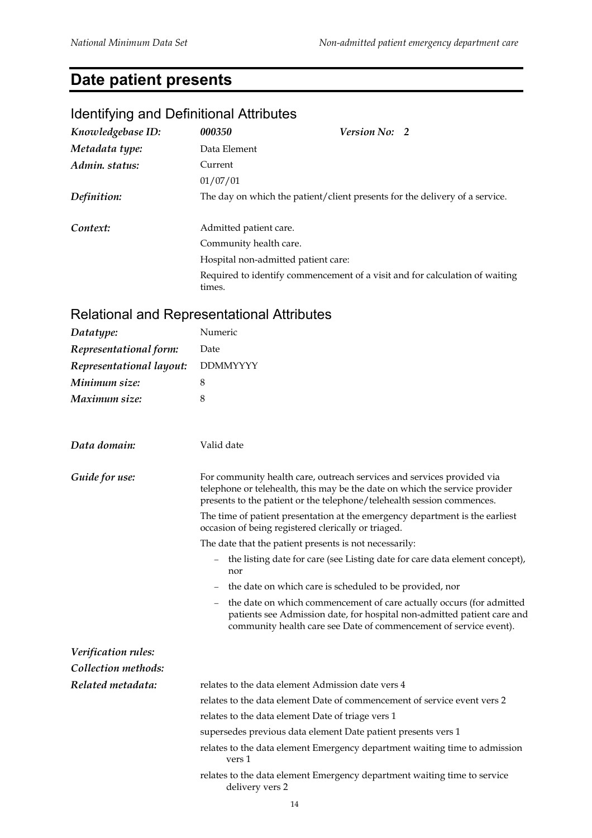# **Date patient presents**

#### Identifying and Definitional Attributes

| Knowledgebase ID: | 000350                              | <b>Version No: 2</b>                                                        |
|-------------------|-------------------------------------|-----------------------------------------------------------------------------|
| Metadata type:    | Data Element                        |                                                                             |
| Admin. status:    | Current                             |                                                                             |
|                   | 01/07/01                            |                                                                             |
| Definition:       |                                     | The day on which the patient/client presents for the delivery of a service. |
|                   |                                     |                                                                             |
| Context:          | Admitted patient care.              |                                                                             |
|                   | Community health care.              |                                                                             |
|                   | Hospital non-admitted patient care: |                                                                             |
|                   | times.                              | Required to identify commencement of a visit and for calculation of waiting |

| Datatype:                | Numeric                                                                                                                                                                                                                         |
|--------------------------|---------------------------------------------------------------------------------------------------------------------------------------------------------------------------------------------------------------------------------|
| Representational form:   | Date                                                                                                                                                                                                                            |
| Representational layout: | <b>DDMMYYYY</b>                                                                                                                                                                                                                 |
| Minimum size:            | 8                                                                                                                                                                                                                               |
| Maximum size:            | 8                                                                                                                                                                                                                               |
| Data domain:             | Valid date                                                                                                                                                                                                                      |
| Guide for use:           | For community health care, outreach services and services provided via<br>telephone or telehealth, this may be the date on which the service provider<br>presents to the patient or the telephone/telehealth session commences. |
|                          | The time of patient presentation at the emergency department is the earliest<br>occasion of being registered clerically or triaged.                                                                                             |
|                          | The date that the patient presents is not necessarily:                                                                                                                                                                          |
|                          | the listing date for care (see Listing date for care data element concept),<br>$ \,$<br>nor                                                                                                                                     |
|                          | the date on which care is scheduled to be provided, nor<br>$\qquad \qquad =$                                                                                                                                                    |
|                          | the date on which commencement of care actually occurs (for admitted<br>patients see Admission date, for hospital non-admitted patient care and<br>community health care see Date of commencement of service event).            |
| Verification rules:      |                                                                                                                                                                                                                                 |
| Collection methods:      |                                                                                                                                                                                                                                 |
| Related metadata:        | relates to the data element Admission date vers 4                                                                                                                                                                               |
|                          | relates to the data element Date of commencement of service event vers 2                                                                                                                                                        |
|                          | relates to the data element Date of triage vers 1                                                                                                                                                                               |
|                          | supersedes previous data element Date patient presents vers 1                                                                                                                                                                   |
|                          | relates to the data element Emergency department waiting time to admission<br>vers 1                                                                                                                                            |
|                          | relates to the data element Emergency department waiting time to service<br>delivery vers 2                                                                                                                                     |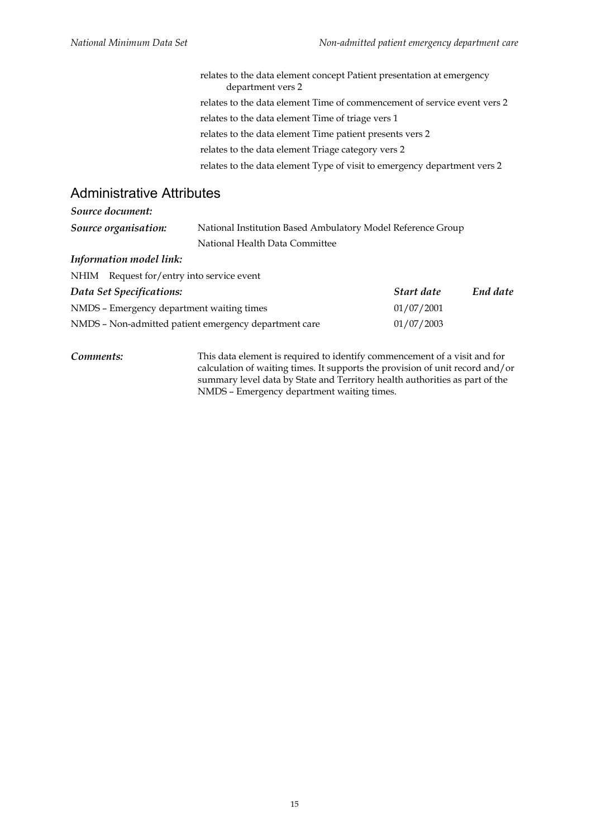relates to the data element concept Patient presentation at emergency department vers 2 relates to the data element Time of commencement of service event vers 2 relates to the data element Time of triage vers 1 relates to the data element Time patient presents vers 2 relates to the data element Triage category vers 2 relates to the data element Type of visit to emergency department vers 2

#### Administrative Attributes

| Source document:                          |                                                       |                                                             |          |  |  |
|-------------------------------------------|-------------------------------------------------------|-------------------------------------------------------------|----------|--|--|
| Source organisation:                      |                                                       | National Institution Based Ambulatory Model Reference Group |          |  |  |
|                                           | National Health Data Committee                        |                                                             |          |  |  |
| Information model link:                   |                                                       |                                                             |          |  |  |
| NHIM Request for/entry into service event |                                                       |                                                             |          |  |  |
| Data Set Specifications:                  |                                                       | Start date                                                  | End date |  |  |
| NMDS - Emergency department waiting times |                                                       | 01/07/2001                                                  |          |  |  |
|                                           | NMDS - Non-admitted patient emergency department care | 01/07/2003                                                  |          |  |  |
|                                           |                                                       |                                                             |          |  |  |
|                                           |                                                       |                                                             |          |  |  |

*Comments:* This data element is required to identify commencement of a visit and for calculation of waiting times. It supports the provision of unit record and/or summary level data by State and Territory health authorities as part of the NMDS – Emergency department waiting times.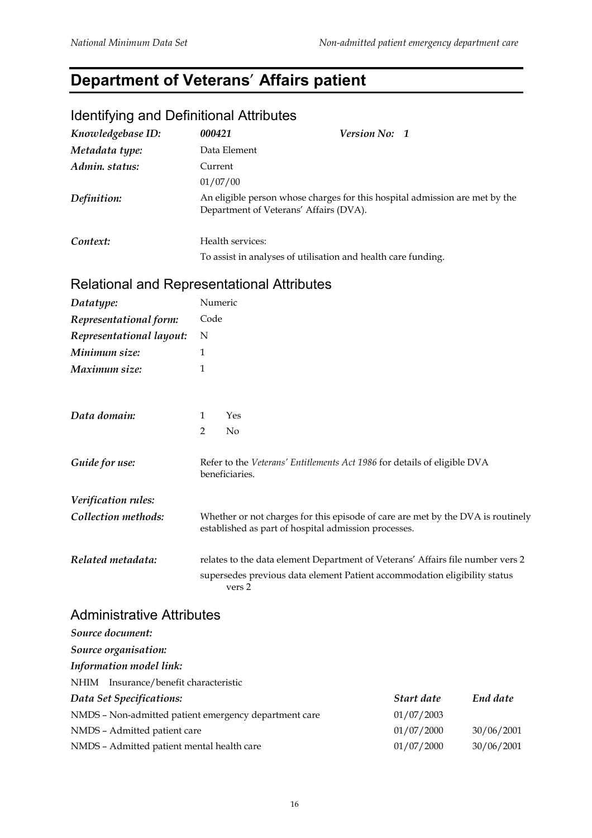# **Department of Veterans**' **Affairs patient**

#### Identifying and Definitional Attributes

| Knowledgebase ID: | 000421                                 | Version No: 1                                                               |  |
|-------------------|----------------------------------------|-----------------------------------------------------------------------------|--|
| Metadata type:    | Data Element                           |                                                                             |  |
| Admin. status:    | Current                                |                                                                             |  |
|                   | 01/07/00                               |                                                                             |  |
| Definition:       | Department of Veterans' Affairs (DVA). | An eligible person whose charges for this hospital admission are met by the |  |
| Context:          | Health services:                       |                                                                             |  |
|                   |                                        | To assist in analyses of utilisation and health care funding.               |  |

#### Relational and Representational Attributes

| Datatype:                | Numeric                                                                                                                                                               |  |  |
|--------------------------|-----------------------------------------------------------------------------------------------------------------------------------------------------------------------|--|--|
| Representational form:   | Code                                                                                                                                                                  |  |  |
| Representational layout: | N                                                                                                                                                                     |  |  |
| Minimum size:            | 1                                                                                                                                                                     |  |  |
| Maximum size:            | 1                                                                                                                                                                     |  |  |
| Data domain:             | Yes<br>1                                                                                                                                                              |  |  |
|                          | $\overline{2}$<br>N <sub>0</sub>                                                                                                                                      |  |  |
| Guide for use:           | Refer to the Veterans' Entitlements Act 1986 for details of eligible DVA<br>beneficiaries.                                                                            |  |  |
| Verification rules:      |                                                                                                                                                                       |  |  |
| Collection methods:      | Whether or not charges for this episode of care are met by the DVA is routinely<br>established as part of hospital admission processes.                               |  |  |
| Related metadata:        | relates to the data element Department of Veterans' Affairs file number vers 2<br>supersedes previous data element Patient accommodation eligibility status<br>vers 2 |  |  |

#### Administrative Attributes

| Source document:                                      |            |            |  |  |
|-------------------------------------------------------|------------|------------|--|--|
| Source organisation:                                  |            |            |  |  |
| Information model link:                               |            |            |  |  |
| Insurance/benefit characteristic<br>NHIM              |            |            |  |  |
| Data Set Specifications:                              | Start date | End date   |  |  |
| NMDS - Non-admitted patient emergency department care | 01/07/2003 |            |  |  |
| NMDS - Admitted patient care                          | 01/07/2000 | 30/06/2001 |  |  |
| NMDS - Admitted patient mental health care            | 01/07/2000 | 30/06/2001 |  |  |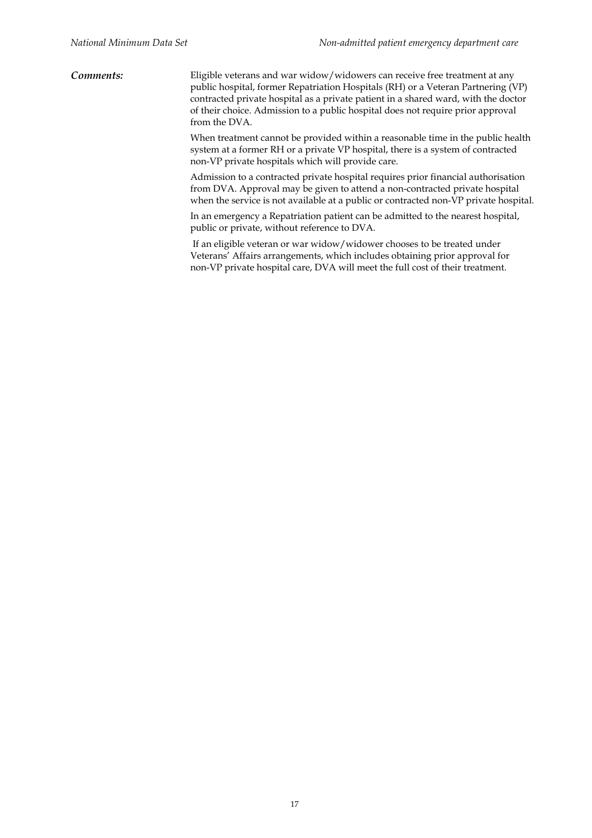*Comments:* Eligible veterans and war widow/widowers can receive free treatment at any public hospital, former Repatriation Hospitals (RH) or a Veteran Partnering (VP) contracted private hospital as a private patient in a shared ward, with the doctor of their choice. Admission to a public hospital does not require prior approval from the DVA.

> When treatment cannot be provided within a reasonable time in the public health system at a former RH or a private VP hospital, there is a system of contracted non-VP private hospitals which will provide care.

> Admission to a contracted private hospital requires prior financial authorisation from DVA. Approval may be given to attend a non-contracted private hospital when the service is not available at a public or contracted non-VP private hospital.

In an emergency a Repatriation patient can be admitted to the nearest hospital, public or private, without reference to DVA.

 If an eligible veteran or war widow/widower chooses to be treated under Veterans' Affairs arrangements, which includes obtaining prior approval for non-VP private hospital care, DVA will meet the full cost of their treatment.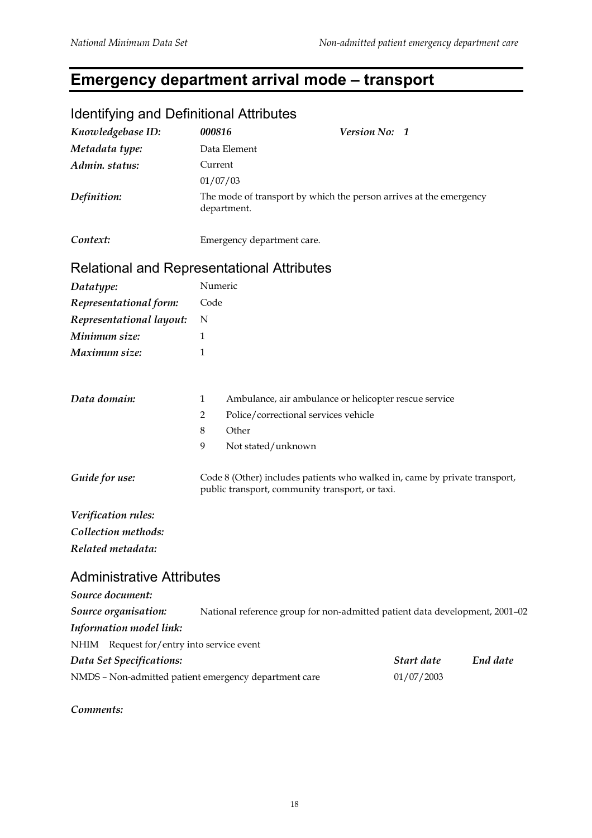# **Emergency department arrival mode – transport**

| identifying and Definitional Attributes                         |                                                                                   |                                                                                                                               |               |            |          |
|-----------------------------------------------------------------|-----------------------------------------------------------------------------------|-------------------------------------------------------------------------------------------------------------------------------|---------------|------------|----------|
| Knowledgebase ID:                                               | 000816                                                                            |                                                                                                                               | Version No: 1 |            |          |
| Metadata type:                                                  | Data Element                                                                      |                                                                                                                               |               |            |          |
| Admin. status:                                                  | Current                                                                           |                                                                                                                               |               |            |          |
|                                                                 | 01/07/03                                                                          |                                                                                                                               |               |            |          |
| Definition:                                                     | The mode of transport by which the person arrives at the emergency<br>department. |                                                                                                                               |               |            |          |
| Context:                                                        |                                                                                   | Emergency department care.                                                                                                    |               |            |          |
| <b>Relational and Representational Attributes</b>               |                                                                                   |                                                                                                                               |               |            |          |
| Datatype:                                                       | Numeric                                                                           |                                                                                                                               |               |            |          |
| Representational form:                                          | Code                                                                              |                                                                                                                               |               |            |          |
| Representational layout:                                        | N                                                                                 |                                                                                                                               |               |            |          |
| Minimum size:                                                   | 1                                                                                 |                                                                                                                               |               |            |          |
| Maximum size:                                                   | 1                                                                                 |                                                                                                                               |               |            |          |
| Data domain:                                                    | $\mathbf{1}$<br>2<br>8<br>9                                                       | Ambulance, air ambulance or helicopter rescue service<br>Police/correctional services vehicle<br>Other<br>Not stated/unknown  |               |            |          |
| Guide for use:                                                  |                                                                                   | Code 8 (Other) includes patients who walked in, came by private transport,<br>public transport, community transport, or taxi. |               |            |          |
| Verification rules:<br>Collection methods:<br>Related metadata: |                                                                                   |                                                                                                                               |               |            |          |
| <b>Administrative Attributes</b>                                |                                                                                   |                                                                                                                               |               |            |          |
| Source document:                                                |                                                                                   |                                                                                                                               |               |            |          |
| Source organisation:                                            |                                                                                   | National reference group for non-admitted patient data development, 2001-02                                                   |               |            |          |
| Information model link:                                         |                                                                                   |                                                                                                                               |               |            |          |
| Request for/entry into service event<br>NHIM                    |                                                                                   |                                                                                                                               |               |            |          |
| Data Set Specifications:                                        |                                                                                   |                                                                                                                               |               | Start date | End date |
| NMDS - Non-admitted patient emergency department care           |                                                                                   |                                                                                                                               |               | 01/07/2003 |          |
|                                                                 |                                                                                   |                                                                                                                               |               |            |          |

# Identifying and Definitional Attributes

*Comments:*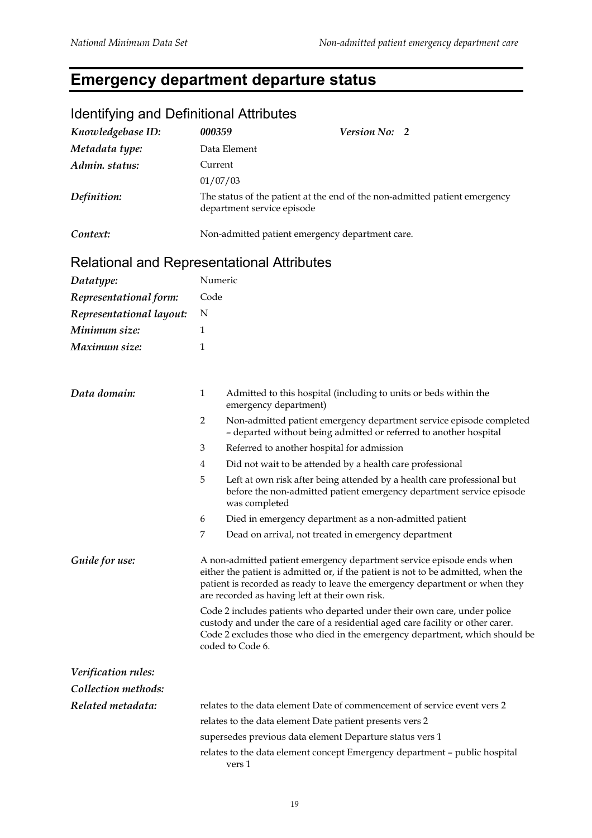# **Emergency department departure status**

| <u>tueritiiviity ariu Definitional Attributes</u> |                                                                                                          |                                                                                                                                                                                                                                                                                             |  |
|---------------------------------------------------|----------------------------------------------------------------------------------------------------------|---------------------------------------------------------------------------------------------------------------------------------------------------------------------------------------------------------------------------------------------------------------------------------------------|--|
| Knowledgebase ID:                                 | 000359                                                                                                   | Version No: 2                                                                                                                                                                                                                                                                               |  |
| Metadata type:                                    |                                                                                                          | Data Element                                                                                                                                                                                                                                                                                |  |
| Admin. status:                                    | Current                                                                                                  |                                                                                                                                                                                                                                                                                             |  |
|                                                   | 01/07/03                                                                                                 |                                                                                                                                                                                                                                                                                             |  |
| Definition:                                       | The status of the patient at the end of the non-admitted patient emergency<br>department service episode |                                                                                                                                                                                                                                                                                             |  |
| Context:                                          | Non-admitted patient emergency department care.                                                          |                                                                                                                                                                                                                                                                                             |  |
| Relational and Representational Attributes        |                                                                                                          |                                                                                                                                                                                                                                                                                             |  |
| Datatype:                                         | Numeric                                                                                                  |                                                                                                                                                                                                                                                                                             |  |
| Representational form:                            | Code                                                                                                     |                                                                                                                                                                                                                                                                                             |  |
| Representational layout:                          | N                                                                                                        |                                                                                                                                                                                                                                                                                             |  |
| Minimum size:                                     | 1                                                                                                        |                                                                                                                                                                                                                                                                                             |  |
| Maximum size:                                     | 1                                                                                                        |                                                                                                                                                                                                                                                                                             |  |
|                                                   |                                                                                                          |                                                                                                                                                                                                                                                                                             |  |
| Data domain:                                      | $\mathbf{1}$                                                                                             | Admitted to this hospital (including to units or beds within the<br>emergency department)                                                                                                                                                                                                   |  |
|                                                   | 2                                                                                                        | Non-admitted patient emergency department service episode completed<br>- departed without being admitted or referred to another hospital                                                                                                                                                    |  |
|                                                   | 3                                                                                                        | Referred to another hospital for admission                                                                                                                                                                                                                                                  |  |
|                                                   | 4                                                                                                        | Did not wait to be attended by a health care professional                                                                                                                                                                                                                                   |  |
|                                                   | 5                                                                                                        | Left at own risk after being attended by a health care professional but<br>before the non-admitted patient emergency department service episode<br>was completed                                                                                                                            |  |
|                                                   | 6                                                                                                        | Died in emergency department as a non-admitted patient                                                                                                                                                                                                                                      |  |
|                                                   | 7                                                                                                        | Dead on arrival, not treated in emergency department                                                                                                                                                                                                                                        |  |
| Guide for use:                                    |                                                                                                          | A non-admitted patient emergency department service episode ends when<br>either the patient is admitted or, if the patient is not to be admitted, when the<br>patient is recorded as ready to leave the emergency department or when they<br>are recorded as having left at their own risk. |  |
|                                                   |                                                                                                          | Code 2 includes patients who departed under their own care, under police<br>custody and under the care of a residential aged care facility or other carer.<br>Code 2 excludes those who died in the emergency department, which should be<br>coded to Code 6.                               |  |
| Verification rules:                               |                                                                                                          |                                                                                                                                                                                                                                                                                             |  |
| Collection methods:                               |                                                                                                          |                                                                                                                                                                                                                                                                                             |  |
| Related metadata:                                 |                                                                                                          | relates to the data element Date of commencement of service event vers 2                                                                                                                                                                                                                    |  |
|                                                   |                                                                                                          | relates to the data element Date patient presents vers 2                                                                                                                                                                                                                                    |  |
|                                                   |                                                                                                          | supersedes previous data element Departure status vers 1                                                                                                                                                                                                                                    |  |
|                                                   |                                                                                                          | relates to the data element concept Emergency department - public hospital<br>vers 1                                                                                                                                                                                                        |  |

#### Identifying and Definitional Attributes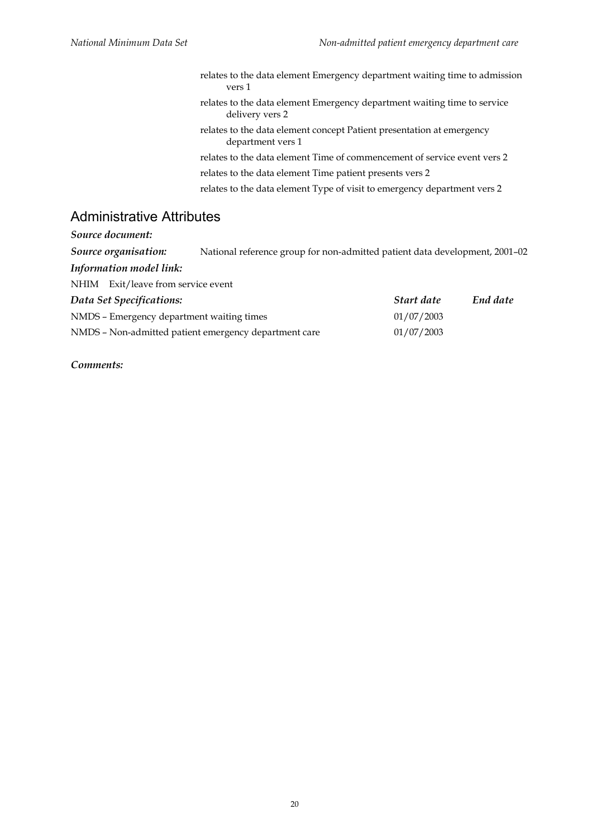relates to the data element Emergency department waiting time to admission vers 1 relates to the data element Emergency department waiting time to service delivery vers 2 relates to the data element concept Patient presentation at emergency department vers 1 relates to the data element Time of commencement of service event vers 2 relates to the data element Time patient presents vers 2 relates to the data element Type of visit to emergency department vers 2

#### Administrative Attributes

NHIM Exit/leave from service event

| Source document: |  |
|------------------|--|
|                  |  |

*Source organisation:* National reference group for non-admitted patient data development, 2001–02

*Information model link:*

| Data Set Specifications:                              | Start date | End date |
|-------------------------------------------------------|------------|----------|
| NMDS – Emergency department waiting times             | 01/07/2003 |          |
| NMDS - Non-admitted patient emergency department care | 01/07/2003 |          |

*Comments:*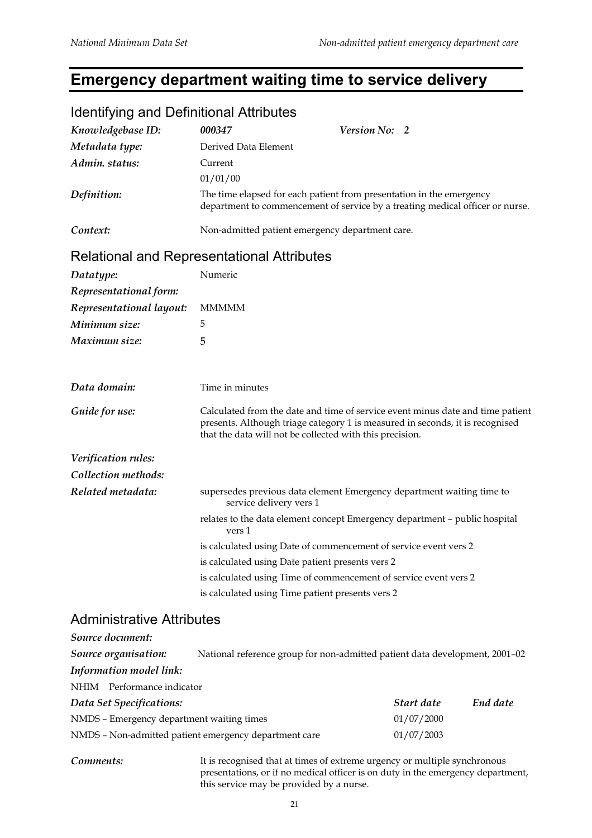# **Emergency department waiting time to service delivery**

| <b>Refigures</b> and Demindonal Admodition |                                                                                                                                                                                                                             |
|--------------------------------------------|-----------------------------------------------------------------------------------------------------------------------------------------------------------------------------------------------------------------------------|
| Knowledgebase ID:                          | 000347<br>Version No: 2                                                                                                                                                                                                     |
| Metadata type:                             | Derived Data Element                                                                                                                                                                                                        |
| Admin. status:                             | Current                                                                                                                                                                                                                     |
|                                            | 01/01/00                                                                                                                                                                                                                    |
| Definition:                                | The time elapsed for each patient from presentation in the emergency<br>department to commencement of service by a treating medical officer or nurse.                                                                       |
| Context:                                   | Non-admitted patient emergency department care.                                                                                                                                                                             |
|                                            | <b>Relational and Representational Attributes</b>                                                                                                                                                                           |
| Datatype:                                  | Numeric                                                                                                                                                                                                                     |
| Representational form:                     |                                                                                                                                                                                                                             |
| Representational layout:                   | <b>MMMMM</b>                                                                                                                                                                                                                |
| Minimum size:                              | 5                                                                                                                                                                                                                           |
| Maximum size:                              | 5                                                                                                                                                                                                                           |
|                                            |                                                                                                                                                                                                                             |
|                                            |                                                                                                                                                                                                                             |
| Data domain:                               | Time in minutes                                                                                                                                                                                                             |
| Guide for use:                             | Calculated from the date and time of service event minus date and time patient<br>presents. Although triage category 1 is measured in seconds, it is recognised<br>that the data will not be collected with this precision. |
| Verification rules:                        |                                                                                                                                                                                                                             |
| Collection methods:                        |                                                                                                                                                                                                                             |
| Related metadata:                          | supersedes previous data element Emergency department waiting time to<br>service delivery vers 1                                                                                                                            |
|                                            | relates to the data element concept Emergency department - public hospital<br>vers 1                                                                                                                                        |
|                                            | is calculated using Date of commencement of service event vers 2                                                                                                                                                            |
|                                            | is calculated using Date patient presents vers 2                                                                                                                                                                            |
|                                            | is calculated using Time of commencement of service event vers 2                                                                                                                                                            |
|                                            | is calculated using Time patient presents vers 2                                                                                                                                                                            |
| <b>Administrative Attributes</b>           |                                                                                                                                                                                                                             |
| Source document:                           |                                                                                                                                                                                                                             |
| Source organisation:                       | National reference group for non-admitted patient data development, 2001-02                                                                                                                                                 |
| Information model link:                    |                                                                                                                                                                                                                             |
|                                            |                                                                                                                                                                                                                             |

#### Identifying and Definitional Attributes

NHIM Performance indicator *Data Set Specifications: Start date End date* NMDS – Emergency department waiting times 01/07/2000 NMDS – Non-admitted patient emergency department care 01/07/2003

*Comments:* It is recognised that at times of extreme urgency or multiple synchronous presentations, or if no medical officer is on duty in the emergency department, this service may be provided by a nurse.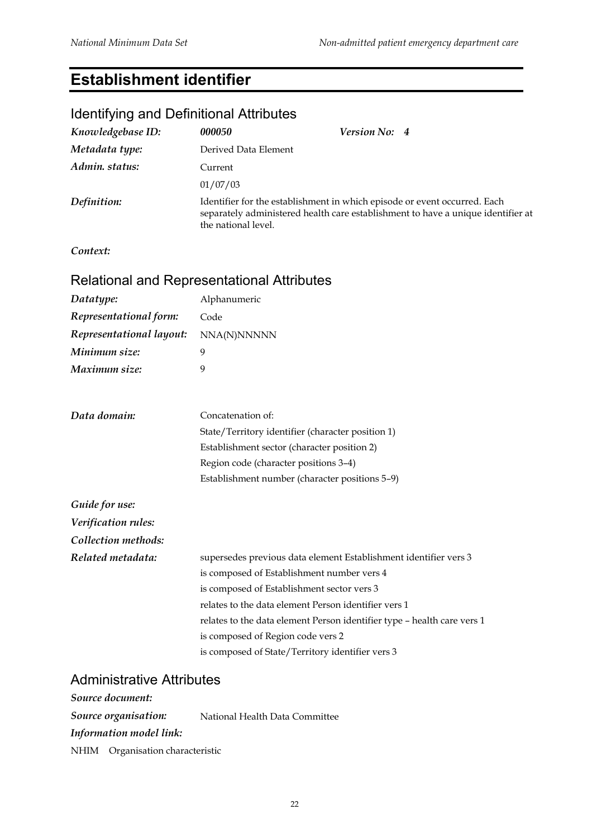#### **Establishment identifier**

# Identifying and Definitional Attributes *Knowledgebase ID: 000050 Version No: 4 Metadata type:* Derived Data Element *Admin. status:* Current 01/07/03 *Definition:* Identifier for the establishment in which episode or event occurred. Each separately administered health care establishment to have a unique identifier at the national level. *Context:* Relational and Representational Attributes *Datatype:* Alphanumeric *Representational form:* Code *Representational layout:* NNA(N)NNNNN *Minimum size:* 9 *Maximum size:* 9 *Data domain:* Concatenation of: State/Territory identifier (character position 1) Establishment sector (character position 2) Region code (character positions 3–4) Establishment number (character positions 5–9) *Guide for use: Verification rules: Collection methods: Related metadata:* supersedes previous data element Establishment identifier vers 3 is composed of Establishment number vers 4 is composed of Establishment sector vers 3 relates to the data element Person identifier vers 1 relates to the data element Person identifier type – health care vers 1 is composed of Region code vers 2 is composed of State/Territory identifier vers 3

#### Administrative Attributes

*Source document: Source organisation:* National Health Data Committee *Information model link:* NHIM Organisation characteristic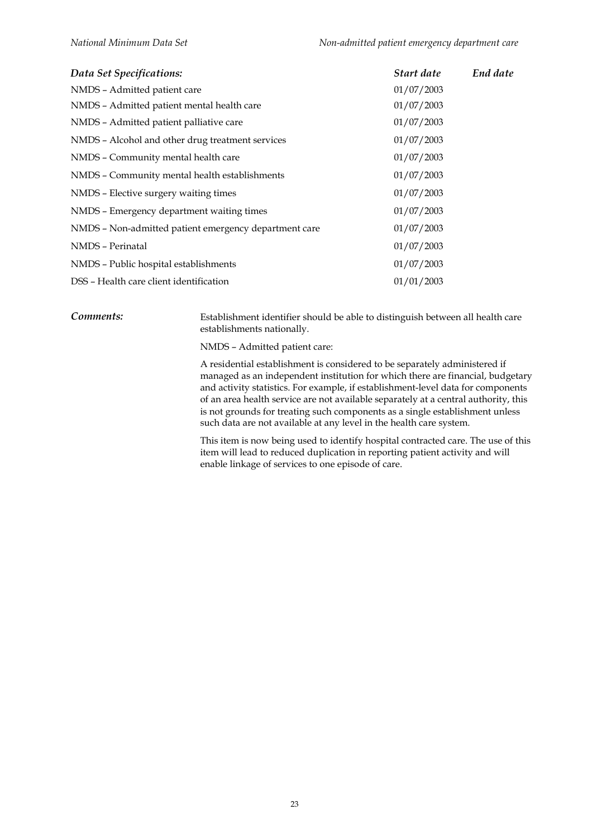| Data Set Specifications:                              | Start date | End date |
|-------------------------------------------------------|------------|----------|
| NMDS - Admitted patient care                          | 01/07/2003 |          |
| NMDS - Admitted patient mental health care            | 01/07/2003 |          |
| NMDS - Admitted patient palliative care               | 01/07/2003 |          |
| NMDS - Alcohol and other drug treatment services      | 01/07/2003 |          |
| NMDS - Community mental health care                   | 01/07/2003 |          |
| NMDS - Community mental health establishments         | 01/07/2003 |          |
| NMDS - Elective surgery waiting times                 | 01/07/2003 |          |
| NMDS - Emergency department waiting times             | 01/07/2003 |          |
| NMDS - Non-admitted patient emergency department care | 01/07/2003 |          |
| NMDS - Perinatal                                      | 01/07/2003 |          |
| NMDS - Public hospital establishments                 | 01/07/2003 |          |
| DSS - Health care client identification               | 01/01/2003 |          |

*Comments:* Establishment identifier should be able to distinguish between all health care establishments nationally.

NMDS – Admitted patient care:

A residential establishment is considered to be separately administered if managed as an independent institution for which there are financial, budgetary and activity statistics. For example, if establishment-level data for components of an area health service are not available separately at a central authority, this is not grounds for treating such components as a single establishment unless such data are not available at any level in the health care system.

This item is now being used to identify hospital contracted care. The use of this item will lead to reduced duplication in reporting patient activity and will enable linkage of services to one episode of care.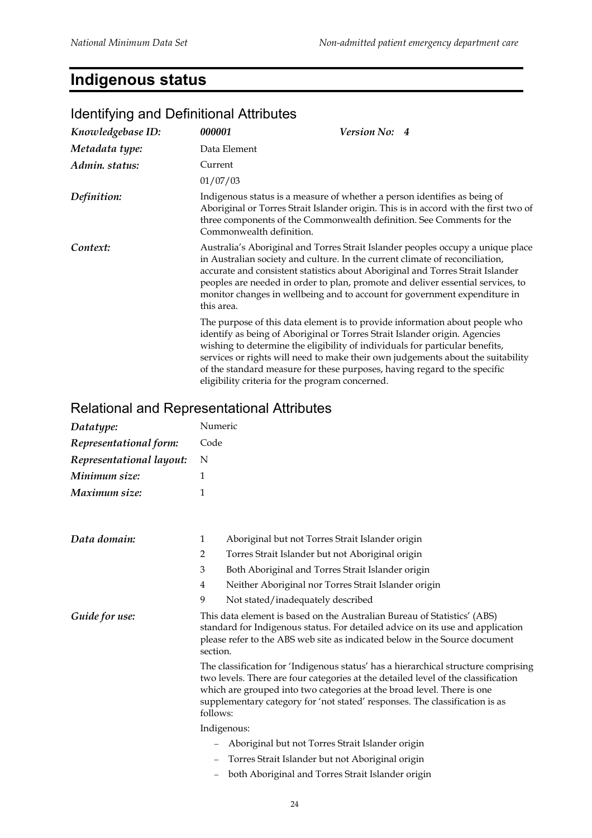# **Indigenous status**

| Knowledgebase ID: | 000001                                          | Version No: 4                                                                                                                                                                                                                                                                                                                                                                                                     |
|-------------------|-------------------------------------------------|-------------------------------------------------------------------------------------------------------------------------------------------------------------------------------------------------------------------------------------------------------------------------------------------------------------------------------------------------------------------------------------------------------------------|
| Metadata type:    | Data Element                                    |                                                                                                                                                                                                                                                                                                                                                                                                                   |
| Admin. status:    | Current                                         |                                                                                                                                                                                                                                                                                                                                                                                                                   |
|                   | 01/07/03                                        |                                                                                                                                                                                                                                                                                                                                                                                                                   |
| Definition:       | Commonwealth definition.                        | Indigenous status is a measure of whether a person identifies as being of<br>Aboriginal or Torres Strait Islander origin. This is in accord with the first two of<br>three components of the Commonwealth definition. See Comments for the                                                                                                                                                                        |
| Context:          | this area.                                      | Australia's Aboriginal and Torres Strait Islander peoples occupy a unique place<br>in Australian society and culture. In the current climate of reconciliation,<br>accurate and consistent statistics about Aboriginal and Torres Strait Islander<br>peoples are needed in order to plan, promote and deliver essential services, to<br>monitor changes in wellbeing and to account for government expenditure in |
|                   | eligibility criteria for the program concerned. | The purpose of this data element is to provide information about people who<br>identify as being of Aboriginal or Torres Strait Islander origin. Agencies<br>wishing to determine the eligibility of individuals for particular benefits,<br>services or rights will need to make their own judgements about the suitability<br>of the standard measure for these purposes, having regard to the specific         |

# Identifying and Definitional Attributes

| Datatype:                | Numeric                                                                                                                                                                                                                                                                                                                                      |  |  |
|--------------------------|----------------------------------------------------------------------------------------------------------------------------------------------------------------------------------------------------------------------------------------------------------------------------------------------------------------------------------------------|--|--|
| Representational form:   | Code                                                                                                                                                                                                                                                                                                                                         |  |  |
| Representational layout: | N                                                                                                                                                                                                                                                                                                                                            |  |  |
| Minimum size:            | 1                                                                                                                                                                                                                                                                                                                                            |  |  |
| Maximum size:            | 1                                                                                                                                                                                                                                                                                                                                            |  |  |
| Data domain:             | $\mathbf{1}$<br>Aboriginal but not Torres Strait Islander origin                                                                                                                                                                                                                                                                             |  |  |
|                          | Torres Strait Islander but not Aboriginal origin<br>$\overline{2}$                                                                                                                                                                                                                                                                           |  |  |
|                          | Both Aboriginal and Torres Strait Islander origin<br>3                                                                                                                                                                                                                                                                                       |  |  |
|                          | Neither Aboriginal nor Torres Strait Islander origin<br>$\overline{4}$                                                                                                                                                                                                                                                                       |  |  |
|                          | 9<br>Not stated/inadequately described                                                                                                                                                                                                                                                                                                       |  |  |
| Guide for use:           | This data element is based on the Australian Bureau of Statistics' (ABS)<br>standard for Indigenous status. For detailed advice on its use and application<br>please refer to the ABS web site as indicated below in the Source document<br>section.                                                                                         |  |  |
|                          | The classification for 'Indigenous status' has a hierarchical structure comprising<br>two levels. There are four categories at the detailed level of the classification<br>which are grouped into two categories at the broad level. There is one<br>supplementary category for 'not stated' responses. The classification is as<br>follows: |  |  |
|                          | Indigenous:                                                                                                                                                                                                                                                                                                                                  |  |  |
|                          | Aboriginal but not Torres Strait Islander origin                                                                                                                                                                                                                                                                                             |  |  |
|                          | Torres Strait Islander but not Aboriginal origin                                                                                                                                                                                                                                                                                             |  |  |
|                          | both Aboriginal and Torres Strait Islander origin                                                                                                                                                                                                                                                                                            |  |  |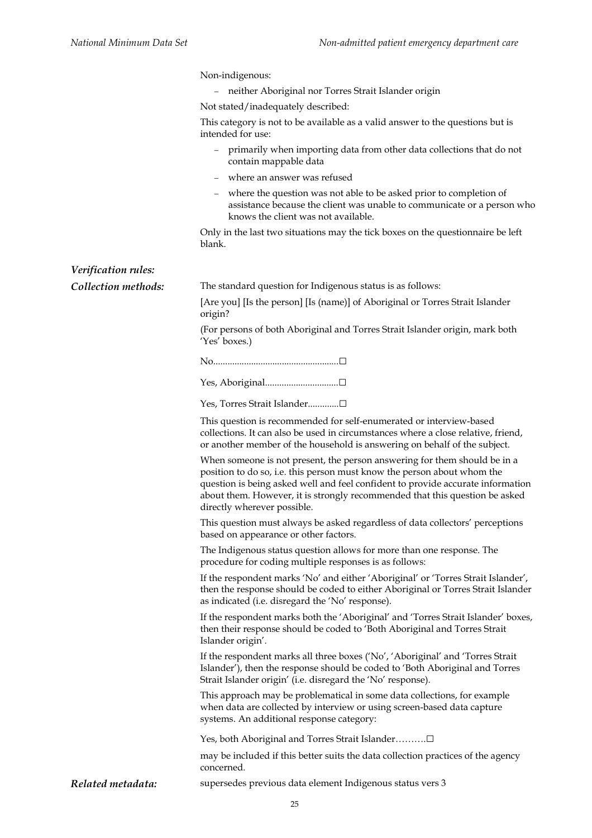|                     | Non-indigenous:                                                                                                                                                                                                                                                                                                                                       |
|---------------------|-------------------------------------------------------------------------------------------------------------------------------------------------------------------------------------------------------------------------------------------------------------------------------------------------------------------------------------------------------|
|                     | neither Aboriginal nor Torres Strait Islander origin                                                                                                                                                                                                                                                                                                  |
|                     | Not stated/inadequately described:                                                                                                                                                                                                                                                                                                                    |
|                     | This category is not to be available as a valid answer to the questions but is<br>intended for use:                                                                                                                                                                                                                                                   |
|                     | primarily when importing data from other data collections that do not<br>contain mappable data                                                                                                                                                                                                                                                        |
|                     | where an answer was refused                                                                                                                                                                                                                                                                                                                           |
|                     | where the question was not able to be asked prior to completion of<br>$\qquad \qquad -$<br>assistance because the client was unable to communicate or a person who<br>knows the client was not available.                                                                                                                                             |
|                     | Only in the last two situations may the tick boxes on the question aire be left<br>blank.                                                                                                                                                                                                                                                             |
| Verification rules: |                                                                                                                                                                                                                                                                                                                                                       |
| Collection methods: | The standard question for Indigenous status is as follows:                                                                                                                                                                                                                                                                                            |
|                     | [Are you] [Is the person] [Is (name)] of Aboriginal or Torres Strait Islander<br>origin?                                                                                                                                                                                                                                                              |
|                     | (For persons of both Aboriginal and Torres Strait Islander origin, mark both<br>'Yes' boxes.)                                                                                                                                                                                                                                                         |
|                     |                                                                                                                                                                                                                                                                                                                                                       |
|                     |                                                                                                                                                                                                                                                                                                                                                       |
|                     | Yes, Torres Strait Islander□                                                                                                                                                                                                                                                                                                                          |
|                     | This question is recommended for self-enumerated or interview-based<br>collections. It can also be used in circumstances where a close relative, friend,<br>or another member of the household is answering on behalf of the subject.                                                                                                                 |
|                     | When someone is not present, the person answering for them should be in a<br>position to do so, i.e. this person must know the person about whom the<br>question is being asked well and feel confident to provide accurate information<br>about them. However, it is strongly recommended that this question be asked<br>directly wherever possible. |
|                     | This question must always be asked regardless of data collectors' perceptions<br>based on appearance or other factors.                                                                                                                                                                                                                                |
|                     | The Indigenous status question allows for more than one response. The<br>procedure for coding multiple responses is as follows:                                                                                                                                                                                                                       |
|                     | If the respondent marks 'No' and either 'Aboriginal' or 'Torres Strait Islander',<br>then the response should be coded to either Aboriginal or Torres Strait Islander<br>as indicated (i.e. disregard the 'No' response).                                                                                                                             |
|                     | If the respondent marks both the 'Aboriginal' and 'Torres Strait Islander' boxes,<br>then their response should be coded to 'Both Aboriginal and Torres Strait<br>Islander origin'.                                                                                                                                                                   |
|                     | If the respondent marks all three boxes ('No', 'Aboriginal' and 'Torres Strait<br>Islander'), then the response should be coded to 'Both Aboriginal and Torres<br>Strait Islander origin' (i.e. disregard the 'No' response).                                                                                                                         |
|                     | This approach may be problematical in some data collections, for example<br>when data are collected by interview or using screen-based data capture<br>systems. An additional response category:                                                                                                                                                      |
|                     | Yes, both Aboriginal and Torres Strait Islander□                                                                                                                                                                                                                                                                                                      |
|                     | may be included if this better suits the data collection practices of the agency<br>concerned.                                                                                                                                                                                                                                                        |
| Related metadata:   | supersedes previous data element Indigenous status vers 3                                                                                                                                                                                                                                                                                             |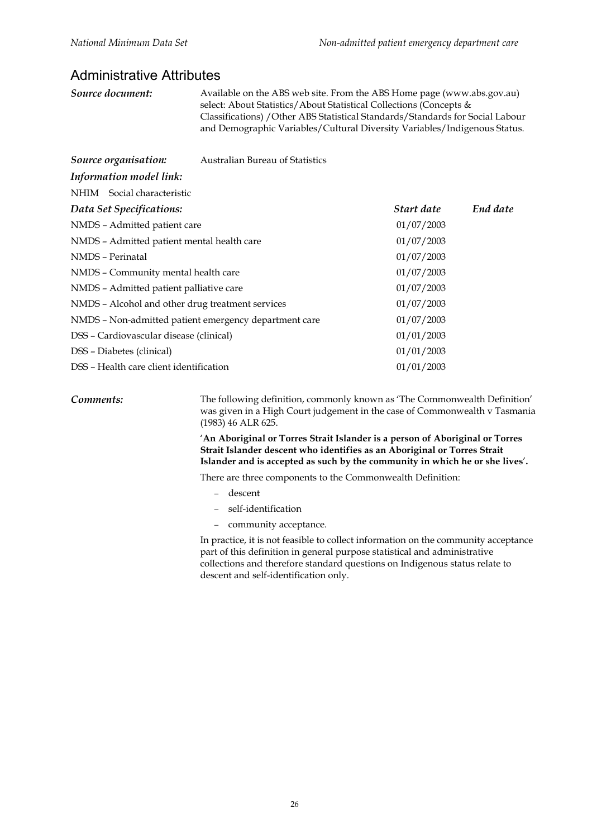#### Administrative Attributes

*Source document:* Available on the ABS web site. From the ABS Home page (www.abs.gov.au) select: About Statistics/About Statistical Collections (Concepts & Classifications) /Other ABS Statistical Standards/Standards for Social Labour and Demographic Variables/Cultural Diversity Variables/Indigenous Status.

| Source organisation:                                  | <b>Australian Bureau of Statistics</b> |            |          |
|-------------------------------------------------------|----------------------------------------|------------|----------|
| Information model link:                               |                                        |            |          |
| NHIM Social characteristic                            |                                        |            |          |
| Data Set Specifications:                              |                                        | Start date | End date |
| NMDS - Admitted patient care                          |                                        | 01/07/2003 |          |
| NMDS - Admitted patient mental health care            |                                        | 01/07/2003 |          |
| NMDS - Perinatal                                      |                                        | 01/07/2003 |          |
| NMDS - Community mental health care                   |                                        | 01/07/2003 |          |
| NMDS - Admitted patient palliative care               |                                        | 01/07/2003 |          |
| NMDS - Alcohol and other drug treatment services      |                                        | 01/07/2003 |          |
| NMDS - Non-admitted patient emergency department care |                                        | 01/07/2003 |          |
| DSS - Cardiovascular disease (clinical)               |                                        | 01/01/2003 |          |
| DSS - Diabetes (clinical)                             |                                        | 01/01/2003 |          |
| DSS – Health care client identification               |                                        | 01/01/2003 |          |

*Comments:* The following definition, commonly known as 'The Commonwealth Definition' was given in a High Court judgement in the case of Commonwealth v Tasmania (1983) 46 ALR 625.

> '**An Aboriginal or Torres Strait Islander is a person of Aboriginal or Torres Strait Islander descent who identifies as an Aboriginal or Torres Strait Islander and is accepted as such by the community in which he or she lives**'**.**

There are three components to the Commonwealth Definition:

- − descent
- − self-identification
- − community acceptance.

In practice, it is not feasible to collect information on the community acceptance part of this definition in general purpose statistical and administrative collections and therefore standard questions on Indigenous status relate to descent and self-identification only.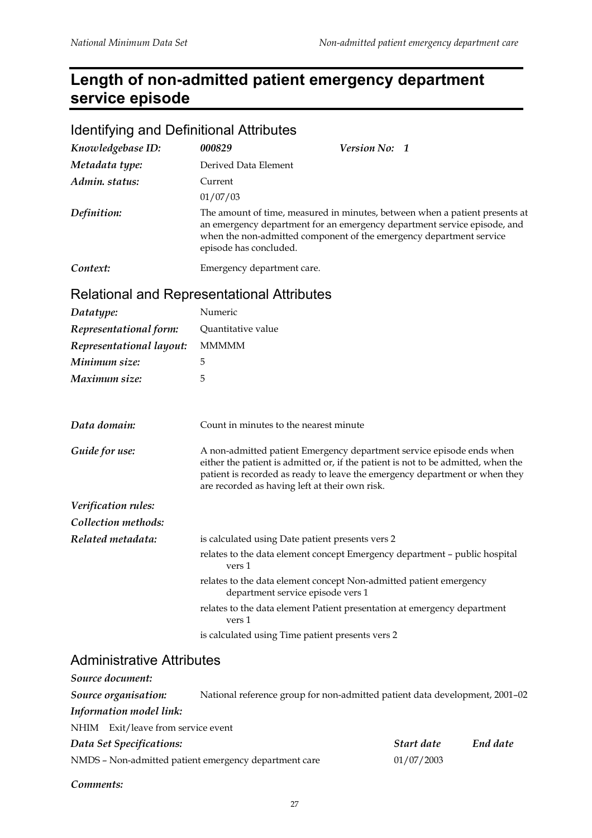# **Length of non-admitted patient emergency department service episode**

| <b>Identifying and Definitional Attributes</b> |                                                                                                                                                                                                                                                                                             |               |  |
|------------------------------------------------|---------------------------------------------------------------------------------------------------------------------------------------------------------------------------------------------------------------------------------------------------------------------------------------------|---------------|--|
| Knowledgebase ID:                              | 000829                                                                                                                                                                                                                                                                                      | Version No: 1 |  |
| Metadata type:                                 | Derived Data Element                                                                                                                                                                                                                                                                        |               |  |
| Admin. status:                                 | Current                                                                                                                                                                                                                                                                                     |               |  |
|                                                | 01/07/03                                                                                                                                                                                                                                                                                    |               |  |
| Definition:                                    | The amount of time, measured in minutes, between when a patient presents at<br>an emergency department for an emergency department service episode, and<br>when the non-admitted component of the emergency department service<br>episode has concluded.                                    |               |  |
| Context:                                       | Emergency department care.                                                                                                                                                                                                                                                                  |               |  |
|                                                | Relational and Representational Attributes                                                                                                                                                                                                                                                  |               |  |
| Datatype:                                      | Numeric                                                                                                                                                                                                                                                                                     |               |  |
| Representational form:                         | Quantitative value                                                                                                                                                                                                                                                                          |               |  |
| Representational layout:                       | <b>MMMMM</b>                                                                                                                                                                                                                                                                                |               |  |
| Minimum size:                                  | 5                                                                                                                                                                                                                                                                                           |               |  |
| Maximum size:                                  | 5                                                                                                                                                                                                                                                                                           |               |  |
| Data domain:                                   | Count in minutes to the nearest minute                                                                                                                                                                                                                                                      |               |  |
| Guide for use:                                 | A non-admitted patient Emergency department service episode ends when<br>either the patient is admitted or, if the patient is not to be admitted, when the<br>patient is recorded as ready to leave the emergency department or when they<br>are recorded as having left at their own risk. |               |  |
| Verification rules:                            |                                                                                                                                                                                                                                                                                             |               |  |
| Collection methods:                            |                                                                                                                                                                                                                                                                                             |               |  |
| Related metadata:                              | is calculated using Date patient presents vers 2                                                                                                                                                                                                                                            |               |  |
|                                                | relates to the data element concept Emergency department - public hospital<br>vers 1                                                                                                                                                                                                        |               |  |
|                                                | relates to the data element concept Non-admitted patient emergency<br>department service episode vers 1                                                                                                                                                                                     |               |  |
|                                                | relates to the data element Patient presentation at emergency department<br>vers 1                                                                                                                                                                                                          |               |  |
|                                                | is calculated using Time patient presents vers 2                                                                                                                                                                                                                                            |               |  |

#### Administrative Attributes

*Comments:*

| Source document:                                      |                                                                             |            |          |
|-------------------------------------------------------|-----------------------------------------------------------------------------|------------|----------|
| Source organisation:                                  | National reference group for non-admitted patient data development, 2001-02 |            |          |
| Information model link:                               |                                                                             |            |          |
| Exit/leave from service event<br>NHIM                 |                                                                             |            |          |
| Data Set Specifications:                              |                                                                             | Start date | End date |
| NMDS - Non-admitted patient emergency department care |                                                                             | 01/07/2003 |          |
|                                                       |                                                                             |            |          |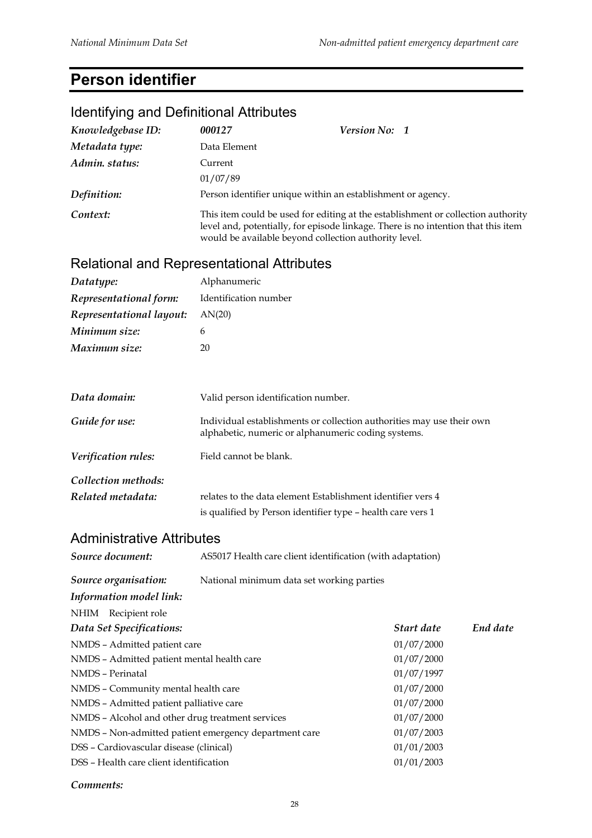# **Person identifier**

# Identifying and Definitional Attributes

| Data Element<br>Admin. status:<br>Current<br>01/07/89<br>Definition:<br>Person identifier unique within an establishment or agency.<br>Context:<br>This item could be used for editing at the establishment or collection authority<br>level and, potentially, for episode linkage. There is no intention that this item<br>would be available beyond collection authority level.<br><b>Relational and Representational Attributes</b><br>Alphanumeric<br>Identification number<br>Representational form:<br>Representational layout:<br>AN(20)<br>6<br>Maximum size:<br>20<br>Data domain:<br>Valid person identification number.<br>Guide for use:<br>Individual establishments or collection authorities may use their own<br>alphabetic, numeric or alphanumeric coding systems.<br>Verification rules:<br>Field cannot be blank.<br>Collection methods:<br>Related metadata:<br>relates to the data element Establishment identifier vers 4<br>is qualified by Person identifier type - health care vers 1<br><b>Administrative Attributes</b><br>Source document:<br>AS5017 Health care client identification (with adaptation)<br>Source organisation:<br>National minimum data set working parties<br>Information model link:<br>NHIM Recipient role<br>End date<br>Data Set Specifications:<br>Start date<br>NMDS - Admitted patient care<br>01/07/2000<br>NMDS - Admitted patient mental health care<br>01/07/2000<br>NMDS - Perinatal<br>01/07/1997<br>01/07/2000<br>NMDS - Community mental health care<br>NMDS - Admitted patient palliative care<br>01/07/2000<br>NMDS - Alcohol and other drug treatment services<br>01/07/2000<br>NMDS - Non-admitted patient emergency department care<br>01/07/2003<br>DSS - Cardiovascular disease (clinical)<br>01/01/2003<br>DSS - Health care client identification<br>01/01/2003 | Knowledgebase ID: | 000127 | Version No: 1 |  |  |
|-----------------------------------------------------------------------------------------------------------------------------------------------------------------------------------------------------------------------------------------------------------------------------------------------------------------------------------------------------------------------------------------------------------------------------------------------------------------------------------------------------------------------------------------------------------------------------------------------------------------------------------------------------------------------------------------------------------------------------------------------------------------------------------------------------------------------------------------------------------------------------------------------------------------------------------------------------------------------------------------------------------------------------------------------------------------------------------------------------------------------------------------------------------------------------------------------------------------------------------------------------------------------------------------------------------------------------------------------------------------------------------------------------------------------------------------------------------------------------------------------------------------------------------------------------------------------------------------------------------------------------------------------------------------------------------------------------------------------------------------------------------------------------------------------------------------------------------------|-------------------|--------|---------------|--|--|
|                                                                                                                                                                                                                                                                                                                                                                                                                                                                                                                                                                                                                                                                                                                                                                                                                                                                                                                                                                                                                                                                                                                                                                                                                                                                                                                                                                                                                                                                                                                                                                                                                                                                                                                                                                                                                                         | Metadata type:    |        |               |  |  |
|                                                                                                                                                                                                                                                                                                                                                                                                                                                                                                                                                                                                                                                                                                                                                                                                                                                                                                                                                                                                                                                                                                                                                                                                                                                                                                                                                                                                                                                                                                                                                                                                                                                                                                                                                                                                                                         |                   |        |               |  |  |
|                                                                                                                                                                                                                                                                                                                                                                                                                                                                                                                                                                                                                                                                                                                                                                                                                                                                                                                                                                                                                                                                                                                                                                                                                                                                                                                                                                                                                                                                                                                                                                                                                                                                                                                                                                                                                                         |                   |        |               |  |  |
|                                                                                                                                                                                                                                                                                                                                                                                                                                                                                                                                                                                                                                                                                                                                                                                                                                                                                                                                                                                                                                                                                                                                                                                                                                                                                                                                                                                                                                                                                                                                                                                                                                                                                                                                                                                                                                         |                   |        |               |  |  |
|                                                                                                                                                                                                                                                                                                                                                                                                                                                                                                                                                                                                                                                                                                                                                                                                                                                                                                                                                                                                                                                                                                                                                                                                                                                                                                                                                                                                                                                                                                                                                                                                                                                                                                                                                                                                                                         |                   |        |               |  |  |
|                                                                                                                                                                                                                                                                                                                                                                                                                                                                                                                                                                                                                                                                                                                                                                                                                                                                                                                                                                                                                                                                                                                                                                                                                                                                                                                                                                                                                                                                                                                                                                                                                                                                                                                                                                                                                                         |                   |        |               |  |  |
|                                                                                                                                                                                                                                                                                                                                                                                                                                                                                                                                                                                                                                                                                                                                                                                                                                                                                                                                                                                                                                                                                                                                                                                                                                                                                                                                                                                                                                                                                                                                                                                                                                                                                                                                                                                                                                         | Datatype:         |        |               |  |  |
|                                                                                                                                                                                                                                                                                                                                                                                                                                                                                                                                                                                                                                                                                                                                                                                                                                                                                                                                                                                                                                                                                                                                                                                                                                                                                                                                                                                                                                                                                                                                                                                                                                                                                                                                                                                                                                         |                   |        |               |  |  |
|                                                                                                                                                                                                                                                                                                                                                                                                                                                                                                                                                                                                                                                                                                                                                                                                                                                                                                                                                                                                                                                                                                                                                                                                                                                                                                                                                                                                                                                                                                                                                                                                                                                                                                                                                                                                                                         |                   |        |               |  |  |
|                                                                                                                                                                                                                                                                                                                                                                                                                                                                                                                                                                                                                                                                                                                                                                                                                                                                                                                                                                                                                                                                                                                                                                                                                                                                                                                                                                                                                                                                                                                                                                                                                                                                                                                                                                                                                                         | Minimum size:     |        |               |  |  |
|                                                                                                                                                                                                                                                                                                                                                                                                                                                                                                                                                                                                                                                                                                                                                                                                                                                                                                                                                                                                                                                                                                                                                                                                                                                                                                                                                                                                                                                                                                                                                                                                                                                                                                                                                                                                                                         |                   |        |               |  |  |
|                                                                                                                                                                                                                                                                                                                                                                                                                                                                                                                                                                                                                                                                                                                                                                                                                                                                                                                                                                                                                                                                                                                                                                                                                                                                                                                                                                                                                                                                                                                                                                                                                                                                                                                                                                                                                                         |                   |        |               |  |  |
|                                                                                                                                                                                                                                                                                                                                                                                                                                                                                                                                                                                                                                                                                                                                                                                                                                                                                                                                                                                                                                                                                                                                                                                                                                                                                                                                                                                                                                                                                                                                                                                                                                                                                                                                                                                                                                         |                   |        |               |  |  |
|                                                                                                                                                                                                                                                                                                                                                                                                                                                                                                                                                                                                                                                                                                                                                                                                                                                                                                                                                                                                                                                                                                                                                                                                                                                                                                                                                                                                                                                                                                                                                                                                                                                                                                                                                                                                                                         |                   |        |               |  |  |
|                                                                                                                                                                                                                                                                                                                                                                                                                                                                                                                                                                                                                                                                                                                                                                                                                                                                                                                                                                                                                                                                                                                                                                                                                                                                                                                                                                                                                                                                                                                                                                                                                                                                                                                                                                                                                                         |                   |        |               |  |  |
|                                                                                                                                                                                                                                                                                                                                                                                                                                                                                                                                                                                                                                                                                                                                                                                                                                                                                                                                                                                                                                                                                                                                                                                                                                                                                                                                                                                                                                                                                                                                                                                                                                                                                                                                                                                                                                         |                   |        |               |  |  |
|                                                                                                                                                                                                                                                                                                                                                                                                                                                                                                                                                                                                                                                                                                                                                                                                                                                                                                                                                                                                                                                                                                                                                                                                                                                                                                                                                                                                                                                                                                                                                                                                                                                                                                                                                                                                                                         |                   |        |               |  |  |
|                                                                                                                                                                                                                                                                                                                                                                                                                                                                                                                                                                                                                                                                                                                                                                                                                                                                                                                                                                                                                                                                                                                                                                                                                                                                                                                                                                                                                                                                                                                                                                                                                                                                                                                                                                                                                                         |                   |        |               |  |  |
|                                                                                                                                                                                                                                                                                                                                                                                                                                                                                                                                                                                                                                                                                                                                                                                                                                                                                                                                                                                                                                                                                                                                                                                                                                                                                                                                                                                                                                                                                                                                                                                                                                                                                                                                                                                                                                         |                   |        |               |  |  |
|                                                                                                                                                                                                                                                                                                                                                                                                                                                                                                                                                                                                                                                                                                                                                                                                                                                                                                                                                                                                                                                                                                                                                                                                                                                                                                                                                                                                                                                                                                                                                                                                                                                                                                                                                                                                                                         |                   |        |               |  |  |
|                                                                                                                                                                                                                                                                                                                                                                                                                                                                                                                                                                                                                                                                                                                                                                                                                                                                                                                                                                                                                                                                                                                                                                                                                                                                                                                                                                                                                                                                                                                                                                                                                                                                                                                                                                                                                                         |                   |        |               |  |  |
|                                                                                                                                                                                                                                                                                                                                                                                                                                                                                                                                                                                                                                                                                                                                                                                                                                                                                                                                                                                                                                                                                                                                                                                                                                                                                                                                                                                                                                                                                                                                                                                                                                                                                                                                                                                                                                         |                   |        |               |  |  |
|                                                                                                                                                                                                                                                                                                                                                                                                                                                                                                                                                                                                                                                                                                                                                                                                                                                                                                                                                                                                                                                                                                                                                                                                                                                                                                                                                                                                                                                                                                                                                                                                                                                                                                                                                                                                                                         |                   |        |               |  |  |
|                                                                                                                                                                                                                                                                                                                                                                                                                                                                                                                                                                                                                                                                                                                                                                                                                                                                                                                                                                                                                                                                                                                                                                                                                                                                                                                                                                                                                                                                                                                                                                                                                                                                                                                                                                                                                                         |                   |        |               |  |  |
|                                                                                                                                                                                                                                                                                                                                                                                                                                                                                                                                                                                                                                                                                                                                                                                                                                                                                                                                                                                                                                                                                                                                                                                                                                                                                                                                                                                                                                                                                                                                                                                                                                                                                                                                                                                                                                         |                   |        |               |  |  |
|                                                                                                                                                                                                                                                                                                                                                                                                                                                                                                                                                                                                                                                                                                                                                                                                                                                                                                                                                                                                                                                                                                                                                                                                                                                                                                                                                                                                                                                                                                                                                                                                                                                                                                                                                                                                                                         |                   |        |               |  |  |
|                                                                                                                                                                                                                                                                                                                                                                                                                                                                                                                                                                                                                                                                                                                                                                                                                                                                                                                                                                                                                                                                                                                                                                                                                                                                                                                                                                                                                                                                                                                                                                                                                                                                                                                                                                                                                                         |                   |        |               |  |  |
|                                                                                                                                                                                                                                                                                                                                                                                                                                                                                                                                                                                                                                                                                                                                                                                                                                                                                                                                                                                                                                                                                                                                                                                                                                                                                                                                                                                                                                                                                                                                                                                                                                                                                                                                                                                                                                         |                   |        |               |  |  |
|                                                                                                                                                                                                                                                                                                                                                                                                                                                                                                                                                                                                                                                                                                                                                                                                                                                                                                                                                                                                                                                                                                                                                                                                                                                                                                                                                                                                                                                                                                                                                                                                                                                                                                                                                                                                                                         |                   |        |               |  |  |
|                                                                                                                                                                                                                                                                                                                                                                                                                                                                                                                                                                                                                                                                                                                                                                                                                                                                                                                                                                                                                                                                                                                                                                                                                                                                                                                                                                                                                                                                                                                                                                                                                                                                                                                                                                                                                                         |                   |        |               |  |  |
|                                                                                                                                                                                                                                                                                                                                                                                                                                                                                                                                                                                                                                                                                                                                                                                                                                                                                                                                                                                                                                                                                                                                                                                                                                                                                                                                                                                                                                                                                                                                                                                                                                                                                                                                                                                                                                         |                   |        |               |  |  |

*Comments:*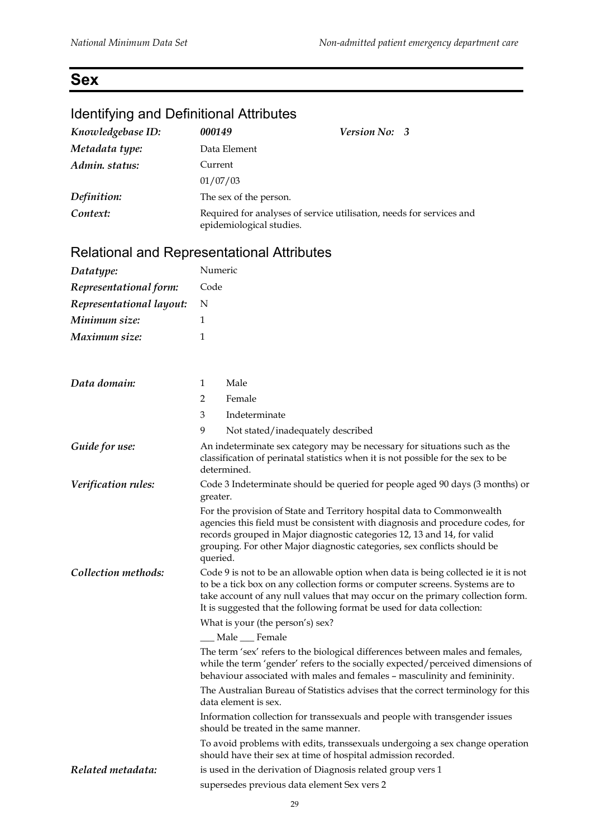## **Sex**

#### Identifying and Definitional Attributes

| Knowledgebase ID: | 000149                   | Version No: 3                                                        |
|-------------------|--------------------------|----------------------------------------------------------------------|
| Metadata type:    | Data Element             |                                                                      |
| Admin. status:    | Current                  |                                                                      |
|                   | 01/07/03                 |                                                                      |
| Definition:       | The sex of the person.   |                                                                      |
| Context:          | epidemiological studies. | Required for analyses of service utilisation, needs for services and |

| Datatype:                | Numeric  |                                                                                                                                                                                                                                                                                                                               |  |
|--------------------------|----------|-------------------------------------------------------------------------------------------------------------------------------------------------------------------------------------------------------------------------------------------------------------------------------------------------------------------------------|--|
| Representational form:   | Code     |                                                                                                                                                                                                                                                                                                                               |  |
| Representational layout: | N        |                                                                                                                                                                                                                                                                                                                               |  |
| Minimum size:            | 1        |                                                                                                                                                                                                                                                                                                                               |  |
| Maximum size:            | 1        |                                                                                                                                                                                                                                                                                                                               |  |
|                          |          |                                                                                                                                                                                                                                                                                                                               |  |
| Data domain:             | 1        | Male                                                                                                                                                                                                                                                                                                                          |  |
|                          | 2        | Female                                                                                                                                                                                                                                                                                                                        |  |
|                          | 3        | Indeterminate                                                                                                                                                                                                                                                                                                                 |  |
|                          | 9        | Not stated/inadequately described                                                                                                                                                                                                                                                                                             |  |
| Guide for use:           |          | An indeterminate sex category may be necessary for situations such as the<br>classification of perinatal statistics when it is not possible for the sex to be<br>determined.                                                                                                                                                  |  |
| Verification rules:      | greater. | Code 3 Indeterminate should be queried for people aged 90 days (3 months) or                                                                                                                                                                                                                                                  |  |
|                          | queried. | For the provision of State and Territory hospital data to Commonwealth<br>agencies this field must be consistent with diagnosis and procedure codes, for<br>records grouped in Major diagnostic categories 12, 13 and 14, for valid<br>grouping. For other Major diagnostic categories, sex conflicts should be               |  |
| Collection methods:      |          | Code 9 is not to be an allowable option when data is being collected ie it is not<br>to be a tick box on any collection forms or computer screens. Systems are to<br>take account of any null values that may occur on the primary collection form.<br>It is suggested that the following format be used for data collection: |  |
|                          |          | What is your (the person's) sex?                                                                                                                                                                                                                                                                                              |  |
|                          |          | _Male ___Female                                                                                                                                                                                                                                                                                                               |  |
|                          |          | The term 'sex' refers to the biological differences between males and females,<br>while the term 'gender' refers to the socially expected/perceived dimensions of<br>behaviour associated with males and females - masculinity and femininity.                                                                                |  |
|                          |          | The Australian Bureau of Statistics advises that the correct terminology for this<br>data element is sex.                                                                                                                                                                                                                     |  |
|                          |          | Information collection for transsexuals and people with transgender issues<br>should be treated in the same manner.                                                                                                                                                                                                           |  |
|                          |          | To avoid problems with edits, transsexuals undergoing a sex change operation<br>should have their sex at time of hospital admission recorded.                                                                                                                                                                                 |  |
| Related metadata:        |          | is used in the derivation of Diagnosis related group vers 1                                                                                                                                                                                                                                                                   |  |
|                          |          | supersedes previous data element Sex vers 2                                                                                                                                                                                                                                                                                   |  |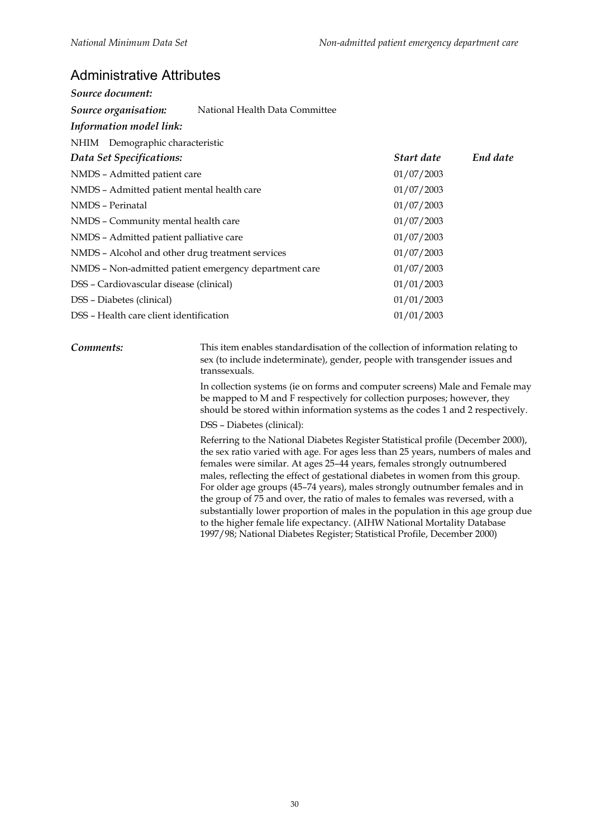#### Administrative Attributes

| Source document:                                       |            |          |
|--------------------------------------------------------|------------|----------|
| National Health Data Committee<br>Source organisation: |            |          |
| Information model link:                                |            |          |
| NHIM Demographic characteristic                        |            |          |
| Data Set Specifications:                               | Start date | End date |
| NMDS - Admitted patient care                           | 01/07/2003 |          |
| NMDS - Admitted patient mental health care             | 01/07/2003 |          |
| NMDS - Perinatal                                       | 01/07/2003 |          |
| NMDS - Community mental health care                    | 01/07/2003 |          |
| NMDS - Admitted patient palliative care                | 01/07/2003 |          |
| NMDS - Alcohol and other drug treatment services       | 01/07/2003 |          |
| NMDS - Non-admitted patient emergency department care  | 01/07/2003 |          |
| DSS - Cardiovascular disease (clinical)                | 01/01/2003 |          |
| DSS – Diabetes (clinical)                              | 01/01/2003 |          |
| DSS - Health care client identification                | 01/01/2003 |          |

**Comments:** This item enables standardisation of the collection of information relating to sex (to include indeterminate), gender, people with transgender issues and transsexuals.

> In collection systems (ie on forms and computer screens) Male and Female may be mapped to M and F respectively for collection purposes; however, they should be stored within information systems as the codes 1 and 2 respectively.

DSS – Diabetes (clinical):

Referring to the National Diabetes Register Statistical profile (December 2000), the sex ratio varied with age. For ages less than 25 years, numbers of males and females were similar. At ages 25–44 years, females strongly outnumbered males, reflecting the effect of gestational diabetes in women from this group. For older age groups (45–74 years), males strongly outnumber females and in the group of 75 and over, the ratio of males to females was reversed, with a substantially lower proportion of males in the population in this age group due to the higher female life expectancy. (AIHW National Mortality Database 1997/98; National Diabetes Register; Statistical Profile, December 2000)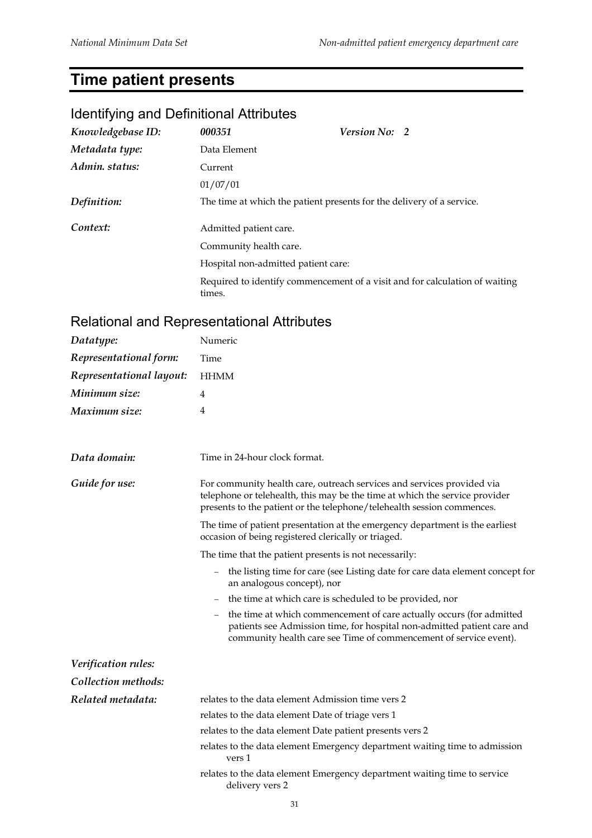# **Time patient presents**

#### Identifying and Definitional Attributes

| Knowledgebase ID: | 000351                              | <b>Version No: 2</b>                                                        |  |
|-------------------|-------------------------------------|-----------------------------------------------------------------------------|--|
| Metadata type:    | Data Element                        |                                                                             |  |
| Admin. status:    | Current                             |                                                                             |  |
|                   | 01/07/01                            |                                                                             |  |
| Definition:       |                                     | The time at which the patient presents for the delivery of a service.       |  |
| Context:          | Admitted patient care.              |                                                                             |  |
|                   | Community health care.              |                                                                             |  |
|                   | Hospital non-admitted patient care: |                                                                             |  |
|                   | times.                              | Required to identify commencement of a visit and for calculation of waiting |  |

| Datatype:                | Numeric                                                                                                                                                                                                                         |
|--------------------------|---------------------------------------------------------------------------------------------------------------------------------------------------------------------------------------------------------------------------------|
| Representational form:   | Time                                                                                                                                                                                                                            |
| Representational layout: | <b>HHMM</b>                                                                                                                                                                                                                     |
| Minimum size:            | 4                                                                                                                                                                                                                               |
| Maximum size:            | 4                                                                                                                                                                                                                               |
|                          |                                                                                                                                                                                                                                 |
| Data domain:             | Time in 24-hour clock format.                                                                                                                                                                                                   |
| Guide for use:           | For community health care, outreach services and services provided via<br>telephone or telehealth, this may be the time at which the service provider<br>presents to the patient or the telephone/telehealth session commences. |
|                          | The time of patient presentation at the emergency department is the earliest<br>occasion of being registered clerically or triaged.                                                                                             |
|                          | The time that the patient presents is not necessarily:                                                                                                                                                                          |
|                          | the listing time for care (see Listing date for care data element concept for<br>$\equiv$<br>an analogous concept), nor                                                                                                         |
|                          | the time at which care is scheduled to be provided, nor<br>$\qquad \qquad -$                                                                                                                                                    |
|                          | the time at which commencement of care actually occurs (for admitted<br>patients see Admission time, for hospital non-admitted patient care and<br>community health care see Time of commencement of service event).            |
| Verification rules:      |                                                                                                                                                                                                                                 |
| Collection methods:      |                                                                                                                                                                                                                                 |
| Related metadata:        | relates to the data element Admission time vers 2                                                                                                                                                                               |
|                          | relates to the data element Date of triage vers 1                                                                                                                                                                               |
|                          | relates to the data element Date patient presents vers 2                                                                                                                                                                        |
|                          | relates to the data element Emergency department waiting time to admission<br>vers 1                                                                                                                                            |
|                          | relates to the data element Emergency department waiting time to service<br>delivery vers 2                                                                                                                                     |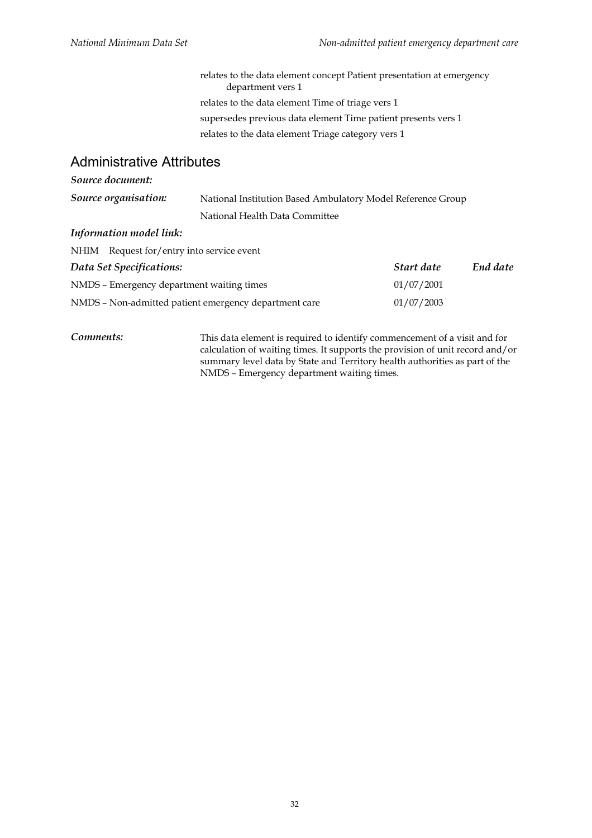relates to the data element concept Patient presentation at emergency department vers 1 relates to the data element Time of triage vers 1 supersedes previous data element Time patient presents vers 1 relates to the data element Triage category vers 1

#### Administrative Attributes

#### *Source document:*

| Source organisation: | National Institution Based Ambulatory Model Reference Group |
|----------------------|-------------------------------------------------------------|
|                      | National Health Data Committee                              |

#### *Information model link:*

| NHIM Request for/entry into service event             |            |          |
|-------------------------------------------------------|------------|----------|
| Data Set Specifications:                              | Start date | End date |
| NMDS - Emergency department waiting times             | 01/07/2001 |          |
| NMDS – Non-admitted patient emergency department care | 01/07/2003 |          |

*Comments:* This data element is required to identify commencement of a visit and for calculation of waiting times. It supports the provision of unit record and/or summary level data by State and Territory health authorities as part of the NMDS – Emergency department waiting times.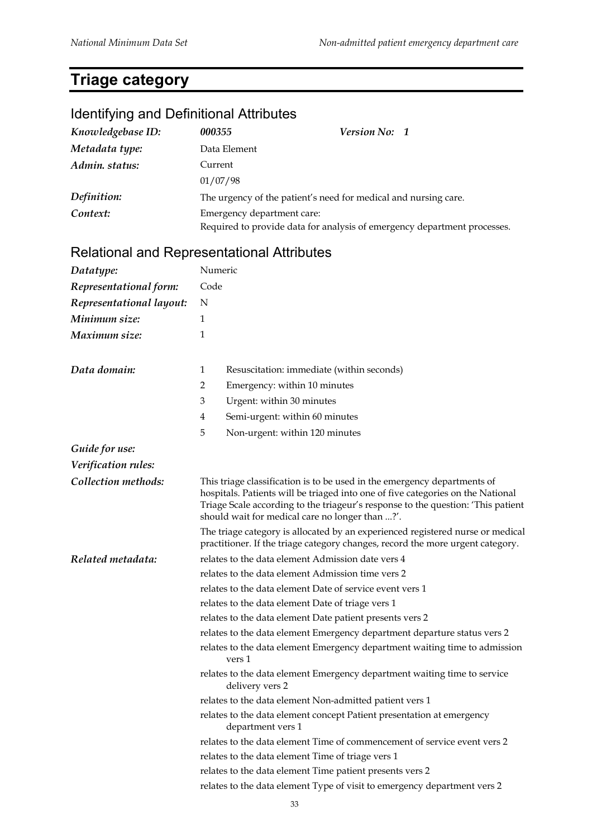# **Triage category**

# Identifying and Definitional Attributes

| Knowledgebase ID: | 000355                     | <b>Version No: 1</b>                                                     |
|-------------------|----------------------------|--------------------------------------------------------------------------|
| Metadata type:    | Data Element               |                                                                          |
| Admin. status:    | Current                    |                                                                          |
|                   | 01/07/98                   |                                                                          |
| Definition:       |                            | The urgency of the patient's need for medical and nursing care.          |
| Context:          | Emergency department care: |                                                                          |
|                   |                            | Required to provide data for analysis of emergency department processes. |

| Datatype:                | Numeric                                                                                                                                                                                                                                                                                            |  |  |
|--------------------------|----------------------------------------------------------------------------------------------------------------------------------------------------------------------------------------------------------------------------------------------------------------------------------------------------|--|--|
| Representational form:   | Code                                                                                                                                                                                                                                                                                               |  |  |
| Representational layout: | N                                                                                                                                                                                                                                                                                                  |  |  |
| Minimum size:            | 1                                                                                                                                                                                                                                                                                                  |  |  |
| Maximum size:            | 1                                                                                                                                                                                                                                                                                                  |  |  |
| Data domain:             | Resuscitation: immediate (within seconds)<br>1                                                                                                                                                                                                                                                     |  |  |
|                          | 2<br>Emergency: within 10 minutes                                                                                                                                                                                                                                                                  |  |  |
|                          | 3<br>Urgent: within 30 minutes                                                                                                                                                                                                                                                                     |  |  |
|                          | 4<br>Semi-urgent: within 60 minutes                                                                                                                                                                                                                                                                |  |  |
|                          | 5<br>Non-urgent: within 120 minutes                                                                                                                                                                                                                                                                |  |  |
| Guide for use:           |                                                                                                                                                                                                                                                                                                    |  |  |
| Verification rules:      |                                                                                                                                                                                                                                                                                                    |  |  |
| Collection methods:      | This triage classification is to be used in the emergency departments of<br>hospitals. Patients will be triaged into one of five categories on the National<br>Triage Scale according to the triageur's response to the question: 'This patient<br>should wait for medical care no longer than ?'. |  |  |
|                          | The triage category is allocated by an experienced registered nurse or medical<br>practitioner. If the triage category changes, record the more urgent category.                                                                                                                                   |  |  |
| Related metadata:        | relates to the data element Admission date vers 4                                                                                                                                                                                                                                                  |  |  |
|                          | relates to the data element Admission time vers 2                                                                                                                                                                                                                                                  |  |  |
|                          | relates to the data element Date of service event vers 1                                                                                                                                                                                                                                           |  |  |
|                          | relates to the data element Date of triage vers 1                                                                                                                                                                                                                                                  |  |  |
|                          | relates to the data element Date patient presents vers 2                                                                                                                                                                                                                                           |  |  |
|                          | relates to the data element Emergency department departure status vers 2                                                                                                                                                                                                                           |  |  |
|                          | relates to the data element Emergency department waiting time to admission<br>vers 1                                                                                                                                                                                                               |  |  |
|                          | relates to the data element Emergency department waiting time to service<br>delivery vers 2                                                                                                                                                                                                        |  |  |
|                          | relates to the data element Non-admitted patient vers 1                                                                                                                                                                                                                                            |  |  |
|                          | relates to the data element concept Patient presentation at emergency<br>department vers 1                                                                                                                                                                                                         |  |  |
|                          | relates to the data element Time of commencement of service event vers 2                                                                                                                                                                                                                           |  |  |
|                          | relates to the data element Time of triage vers 1                                                                                                                                                                                                                                                  |  |  |
|                          | relates to the data element Time patient presents vers 2                                                                                                                                                                                                                                           |  |  |
|                          | relates to the data element Type of visit to emergency department vers 2                                                                                                                                                                                                                           |  |  |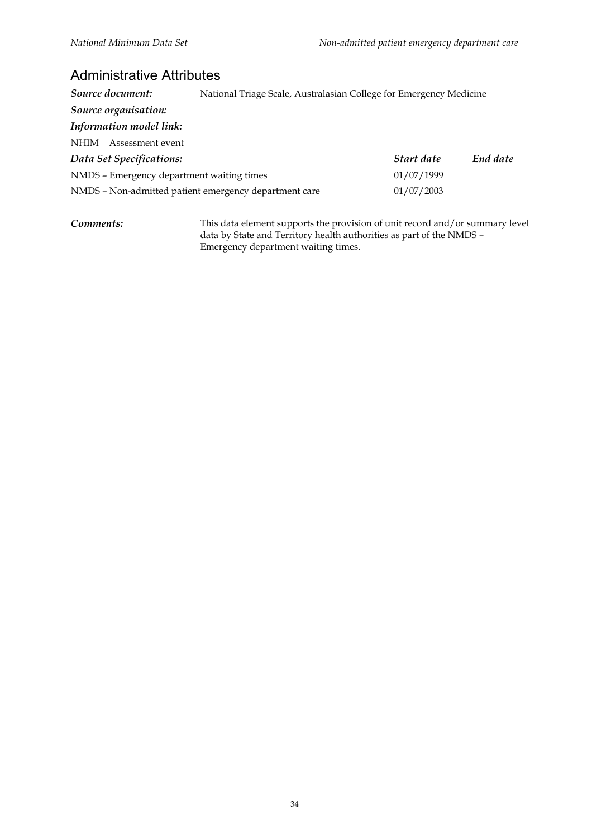#### Administrative Attributes

| Source document:                                      | National Triage Scale, Australasian College for Emergency Medicine |            |          |
|-------------------------------------------------------|--------------------------------------------------------------------|------------|----------|
| Source organisation:                                  |                                                                    |            |          |
| Information model link:                               |                                                                    |            |          |
| <b>NHIM</b><br>Assessment event                       |                                                                    |            |          |
| Data Set Specifications:                              |                                                                    | Start date | End date |
| NMDS - Emergency department waiting times             |                                                                    | 01/07/1999 |          |
| NMDS - Non-admitted patient emergency department care |                                                                    | 01/07/2003 |          |
|                                                       |                                                                    |            |          |

*Comments:* This data element supports the provision of unit record and/or summary level data by State and Territory health authorities as part of the NMDS – Emergency department waiting times.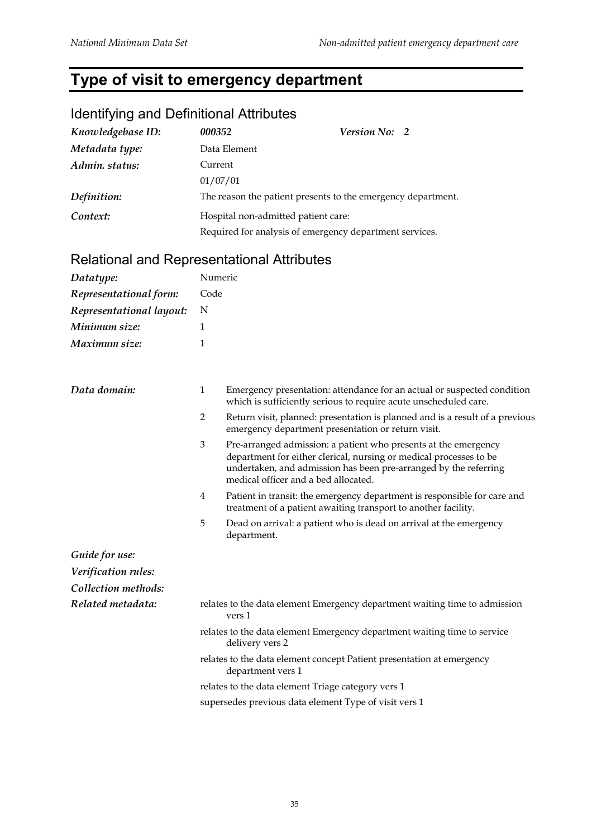# **Type of visit to emergency department**

## Identifying and Definitional Attributes

| Knowledgebase ID: | 000352                                                       | Version No: 2                                           |  |
|-------------------|--------------------------------------------------------------|---------------------------------------------------------|--|
| Metadata type:    | Data Element                                                 |                                                         |  |
| Admin. status:    | Current                                                      |                                                         |  |
|                   | 01/07/01                                                     |                                                         |  |
| Definition:       | The reason the patient presents to the emergency department. |                                                         |  |
| Context:          | Hospital non-admitted patient care:                          |                                                         |  |
|                   |                                                              | Required for analysis of emergency department services. |  |

| Datatype:                | Numeric        |                                                                                                                                                                                                                                                   |  |
|--------------------------|----------------|---------------------------------------------------------------------------------------------------------------------------------------------------------------------------------------------------------------------------------------------------|--|
| Representational form:   | Code           |                                                                                                                                                                                                                                                   |  |
| Representational layout: | N              |                                                                                                                                                                                                                                                   |  |
| Minimum size:            | 1              |                                                                                                                                                                                                                                                   |  |
| Maximum size:            | 1              |                                                                                                                                                                                                                                                   |  |
| Data domain:             | $\mathbf{1}$   | Emergency presentation: attendance for an actual or suspected condition<br>which is sufficiently serious to require acute unscheduled care.                                                                                                       |  |
|                          | $\overline{2}$ | Return visit, planned: presentation is planned and is a result of a previous<br>emergency department presentation or return visit.                                                                                                                |  |
|                          | $\mathfrak{Z}$ | Pre-arranged admission: a patient who presents at the emergency<br>department for either clerical, nursing or medical processes to be<br>undertaken, and admission has been pre-arranged by the referring<br>medical officer and a bed allocated. |  |
|                          | $\overline{4}$ | Patient in transit: the emergency department is responsible for care and<br>treatment of a patient awaiting transport to another facility.                                                                                                        |  |
|                          | 5              | Dead on arrival: a patient who is dead on arrival at the emergency<br>department.                                                                                                                                                                 |  |
| Guide for use:           |                |                                                                                                                                                                                                                                                   |  |
| Verification rules:      |                |                                                                                                                                                                                                                                                   |  |
| Collection methods:      |                |                                                                                                                                                                                                                                                   |  |
| Related metadata:        |                | relates to the data element Emergency department waiting time to admission<br>vers 1                                                                                                                                                              |  |
|                          |                | relates to the data element Emergency department waiting time to service<br>delivery vers 2                                                                                                                                                       |  |
|                          |                | relates to the data element concept Patient presentation at emergency<br>department vers 1                                                                                                                                                        |  |
|                          |                | relates to the data element Triage category vers 1                                                                                                                                                                                                |  |
|                          |                | supersedes previous data element Type of visit vers 1                                                                                                                                                                                             |  |
|                          |                |                                                                                                                                                                                                                                                   |  |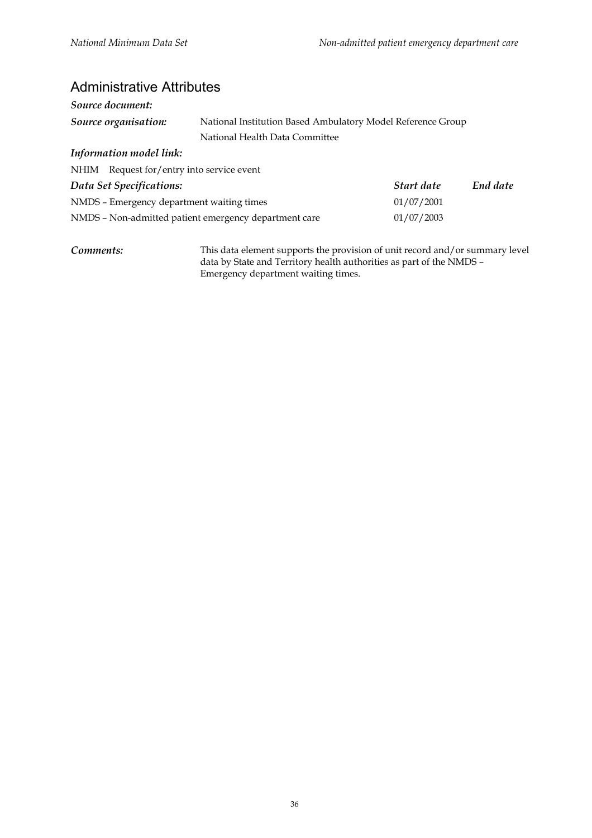#### Administrative Attributes

| Source document:                                      |                                                             |            |          |
|-------------------------------------------------------|-------------------------------------------------------------|------------|----------|
| Source organisation:                                  | National Institution Based Ambulatory Model Reference Group |            |          |
|                                                       | National Health Data Committee                              |            |          |
| Information model link:                               |                                                             |            |          |
| NHIM Request for/entry into service event             |                                                             |            |          |
| Data Set Specifications:                              |                                                             | Start date | End date |
| NMDS - Emergency department waiting times             |                                                             | 01/07/2001 |          |
| NMDS – Non-admitted patient emergency department care |                                                             | 01/07/2003 |          |
|                                                       |                                                             |            |          |

*Comments:* This data element supports the provision of unit record and/or summary level data by State and Territory health authorities as part of the NMDS – Emergency department waiting times.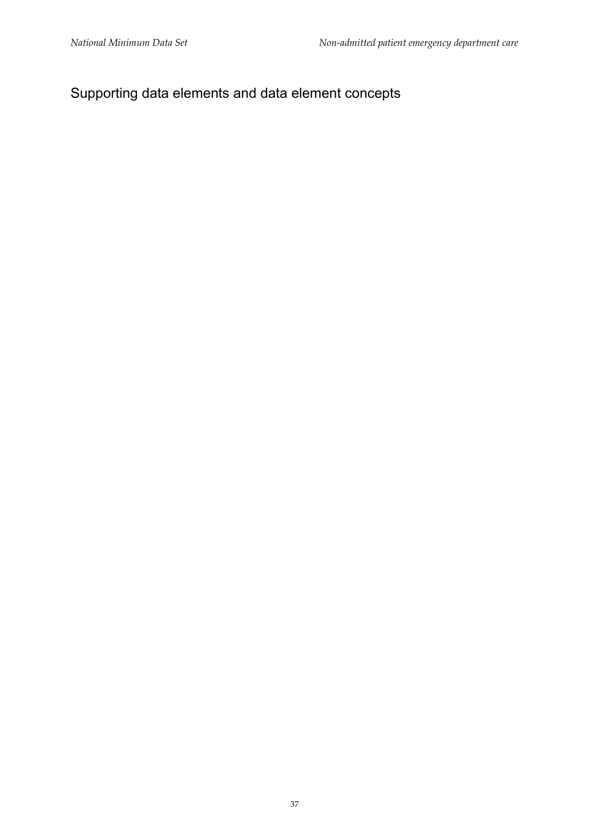# Supporting data elements and data element concepts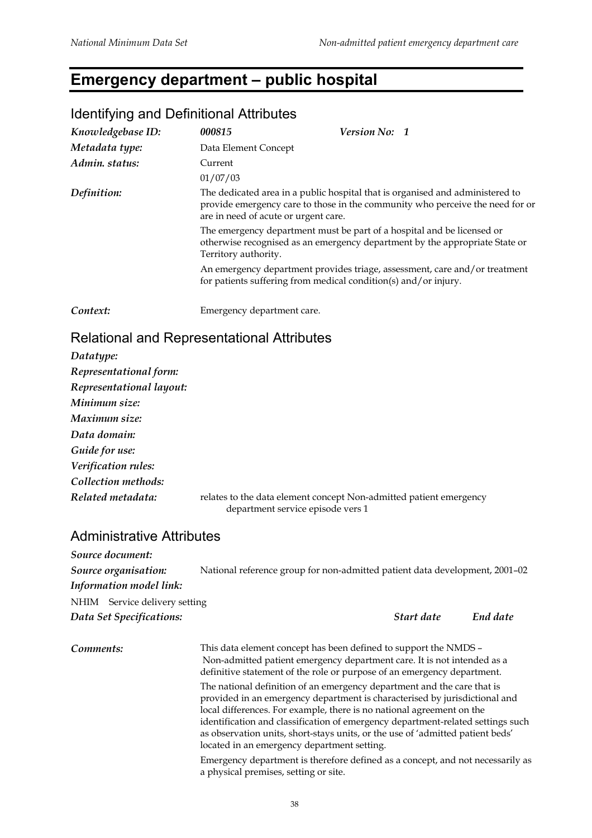# **Emergency department – public hospital**

| $\sim$ $\sim$ $\sim$ $\sim$ $\sim$ $\sim$ |                                                                                                                                                                                                        |                                                                                                                                                       |
|-------------------------------------------|--------------------------------------------------------------------------------------------------------------------------------------------------------------------------------------------------------|-------------------------------------------------------------------------------------------------------------------------------------------------------|
| Knowledgebase ID:                         | 000815                                                                                                                                                                                                 | Version No: 1                                                                                                                                         |
| Metadata type:                            | Data Element Concept                                                                                                                                                                                   |                                                                                                                                                       |
| Admin. status:                            | Current                                                                                                                                                                                                |                                                                                                                                                       |
|                                           | 01/07/03                                                                                                                                                                                               |                                                                                                                                                       |
| Definition:                               | The dedicated area in a public hospital that is organised and administered to<br>provide emergency care to those in the community who perceive the need for or<br>are in need of acute or urgent care. |                                                                                                                                                       |
|                                           | Territory authority.                                                                                                                                                                                   | The emergency department must be part of a hospital and be licensed or<br>otherwise recognised as an emergency department by the appropriate State or |
|                                           | for patients suffering from medical condition(s) and/or injury.                                                                                                                                        | An emergency department provides triage, assessment, care and/or treatment                                                                            |
| Context:                                  | Emergency department care.                                                                                                                                                                             |                                                                                                                                                       |

#### Identifying and Definitional Attributes

#### Relational and Representational Attributes

| Datatype:                |                                                                                                         |
|--------------------------|---------------------------------------------------------------------------------------------------------|
| Representational form:   |                                                                                                         |
| Representational layout: |                                                                                                         |
| Minimum size:            |                                                                                                         |
| Maximum size:            |                                                                                                         |
| Data domain:             |                                                                                                         |
| Guide for use:           |                                                                                                         |
| Verification rules:      |                                                                                                         |
| Collection methods:      |                                                                                                         |
| Related metadata:        | relates to the data element concept Non-admitted patient emergency<br>department service episode vers 1 |

#### Administrative Attributes

| Source document:              |                                                                             |            |          |
|-------------------------------|-----------------------------------------------------------------------------|------------|----------|
| Source organisation:          | National reference group for non-admitted patient data development, 2001-02 |            |          |
| Information model link:       |                                                                             |            |          |
| NHIM Service delivery setting |                                                                             |            |          |
| Data Set Specifications:      |                                                                             | Start date | End date |
|                               |                                                                             |            |          |

*Comments:* This data element concept has been defined to support the NMDS – Non-admitted patient emergency department care. It is not intended as a definitive statement of the role or purpose of an emergency department. The national definition of an emergency department and the care that is provided in an emergency department is characterised by jurisdictional and local differences. For example, there is no national agreement on the identification and classification of emergency department-related settings such as observation units, short-stays units, or the use of 'admitted patient beds' located in an emergency department setting.

> Emergency department is therefore defined as a concept, and not necessarily as a physical premises, setting or site.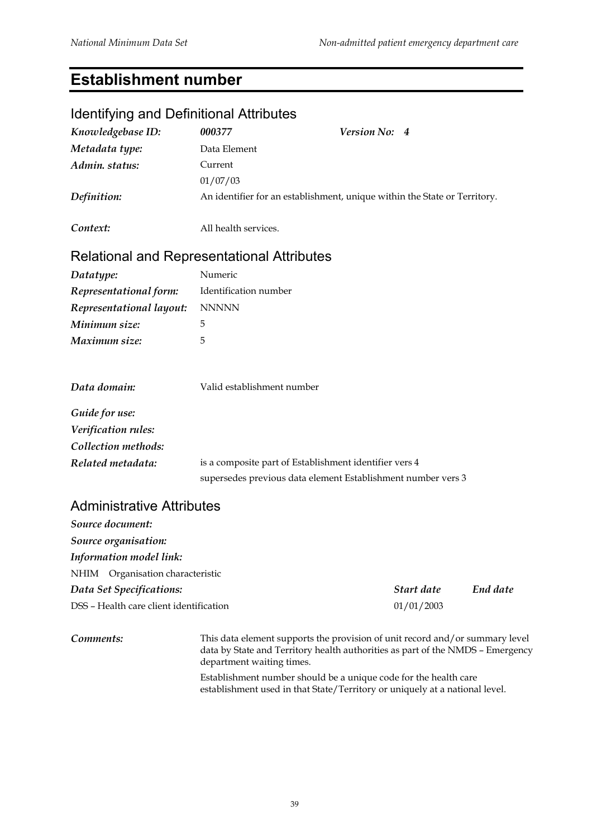#### **Establishment number**

# Identifying and Definitional Attributes *Knowledgebase ID: 000377 Version No: 4 Metadata type:* Data Element *Admin. status:* Current 01/07/03 *Definition:* An identifier for an establishment, unique within the State or Territory. *Context:* All health services. Relational and Representational Attributes *Datatype:* Numeric *Representational form:* Identification number *Representational layout:* NNNNN *Minimum size:* 5 *Maximum size:* 5 *Data domain:* Valid establishment number *Guide for use: Verification rules: Collection methods: Related metadata:* is a composite part of Establishment identifier vers 4 supersedes previous data element Establishment number vers 3

#### Administrative Attributes

| Source document:                        |            |          |
|-----------------------------------------|------------|----------|
| Source organisation:                    |            |          |
| Information model link:                 |            |          |
| NHIM Organisation characteristic        |            |          |
| Data Set Specifications:                | Start date | End date |
| DSS - Health care client identification | 01/01/2003 |          |

**Comments:** This data element supports the provision of unit record and/or summary level data by State and Territory health authorities as part of the NMDS – Emergency department waiting times.

> Establishment number should be a unique code for the health care establishment used in that State/Territory or uniquely at a national level.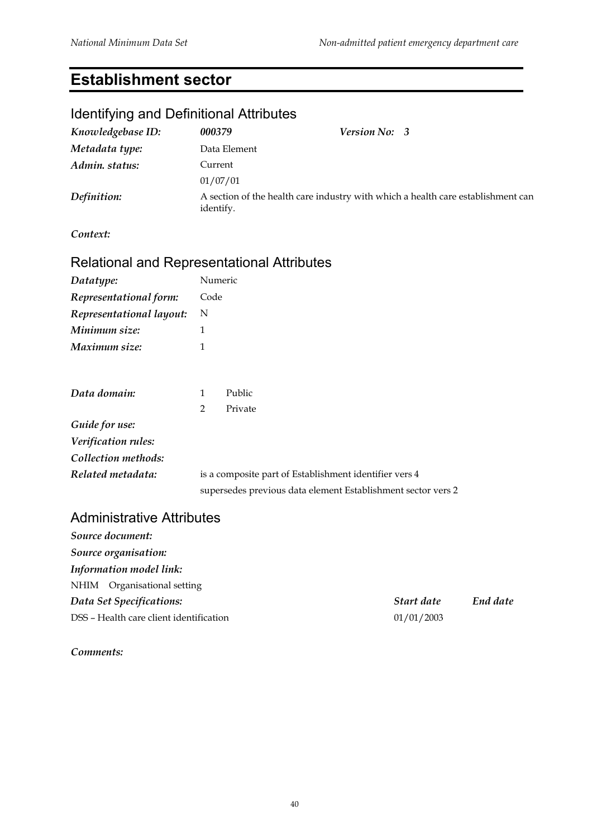#### **Establishment sector**

# Identifying and Definitional Attributes *Knowledgebase ID: 000379 Version No: 3 Metadata type:* Data Element *Admin. status:* Current 01/07/01 *Definition:* A section of the health care industry with which a health care establishment can identify. *Context: Datatype:* Numeric *Representational form:* Code *Representational layout:* N *Minimum size:* 1 *Maximum size:* 1 *Data domain:* 1 Public 2 Private *Guide for use: Verification rules: Collection methods: Related metadata:* is a composite part of Establishment identifier vers 4 supersedes previous data element Establishment sector vers 2

#### Administrative Attributes

| Source document:                        |            |          |
|-----------------------------------------|------------|----------|
| Source organisation:                    |            |          |
| Information model link:                 |            |          |
| NHIM Organisational setting             |            |          |
| Data Set Specifications:                | Start date | End date |
| DSS - Health care client identification | 01/01/2003 |          |

*Comments:*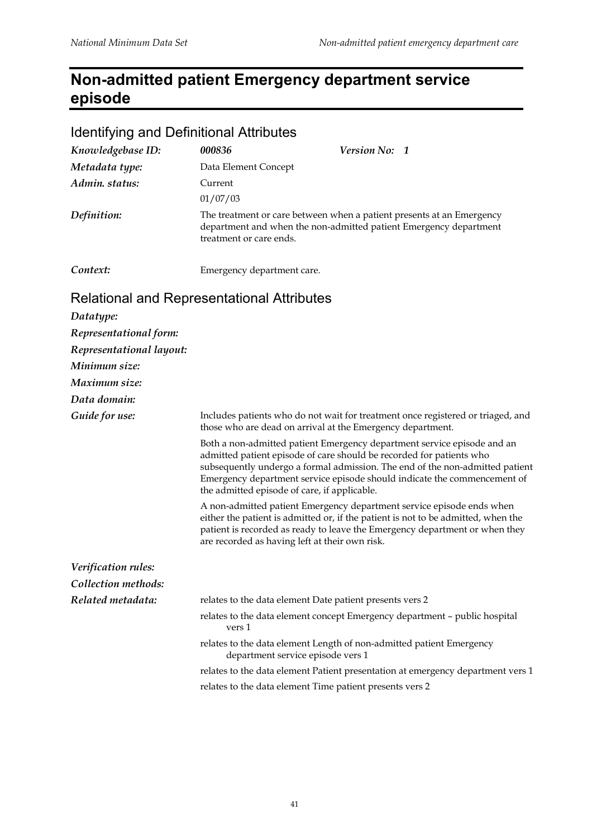# **Non-admitted patient Emergency department service episode**

#### Identifying and Definitional Attributes

| Knowledgebase ID:                                 | 000836                                                     | Version No: 1 |                                                                                                                                            |
|---------------------------------------------------|------------------------------------------------------------|---------------|--------------------------------------------------------------------------------------------------------------------------------------------|
| Metadata type:                                    | Data Element Concept                                       |               |                                                                                                                                            |
| Admin. status:                                    | Current                                                    |               |                                                                                                                                            |
|                                                   | 01/07/03                                                   |               |                                                                                                                                            |
| Definition:                                       | treatment or care ends.                                    |               | The treatment or care between when a patient presents at an Emergency<br>department and when the non-admitted patient Emergency department |
| Context:                                          | Emergency department care.                                 |               |                                                                                                                                            |
| <b>Relational and Representational Attributes</b> |                                                            |               |                                                                                                                                            |
| Datatype:                                         |                                                            |               |                                                                                                                                            |
| Representational form:                            |                                                            |               |                                                                                                                                            |
| Representational layout:                          |                                                            |               |                                                                                                                                            |
| Minimum size:                                     |                                                            |               |                                                                                                                                            |
| Maximum size:                                     |                                                            |               |                                                                                                                                            |
| Data domain:                                      |                                                            |               |                                                                                                                                            |
| Guide for use:                                    | those who are dead on arrival at the Emergency department. |               | Includes patients who do not wait for treatment once registered or triaged, and                                                            |
|                                                   |                                                            |               | Both a non-admitted patient Emergency department service episode and an                                                                    |

admitted patient episode of care should be recorded for patients who subsequently undergo a formal admission. The end of the non-admitted patient Emergency department service episode should indicate the commencement of the admitted episode of care, if applicable.

A non-admitted patient Emergency department service episode ends when either the patient is admitted or, if the patient is not to be admitted, when the patient is recorded as ready to leave the Emergency department or when they are recorded as having left at their own risk.

| Verification rules: |                                                                                                           |
|---------------------|-----------------------------------------------------------------------------------------------------------|
| Collection methods: |                                                                                                           |
| Related metadata:   | relates to the data element Date patient presents vers 2                                                  |
|                     | relates to the data element concept Emergency department – public hospital<br>vers 1                      |
|                     | relates to the data element Length of non-admitted patient Emergency<br>department service episode vers 1 |
|                     | relates to the data element Patient presentation at emergency department vers 1                           |
|                     | relates to the data element Time patient presents vers 2                                                  |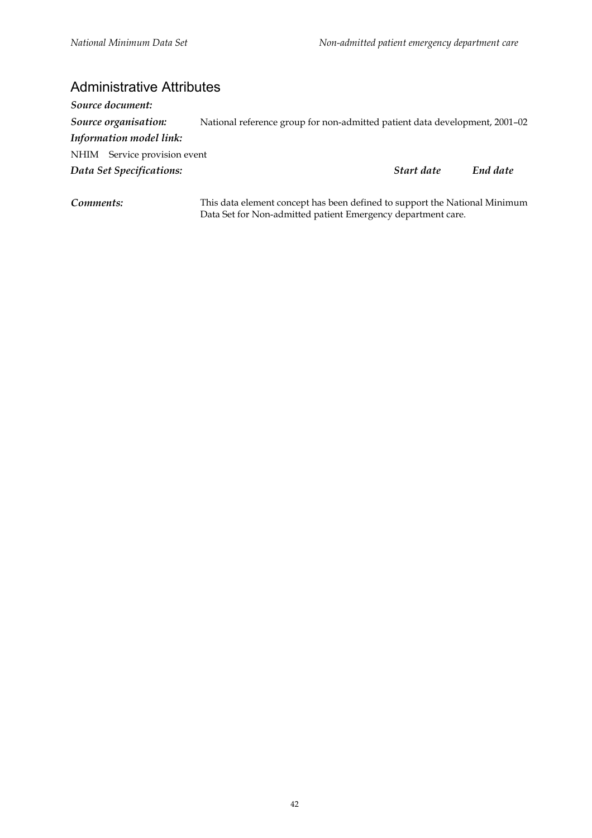#### Administrative Attributes

| Source document:             |                                                                             |            |          |
|------------------------------|-----------------------------------------------------------------------------|------------|----------|
| Source organisation:         | National reference group for non-admitted patient data development, 2001-02 |            |          |
| Information model link:      |                                                                             |            |          |
| NHIM Service provision event |                                                                             |            |          |
| Data Set Specifications:     |                                                                             | Start date | End date |
|                              |                                                                             |            |          |
|                              |                                                                             |            |          |

*Comments:* This data element concept has been defined to support the National Minimum Data Set for Non-admitted patient Emergency department care.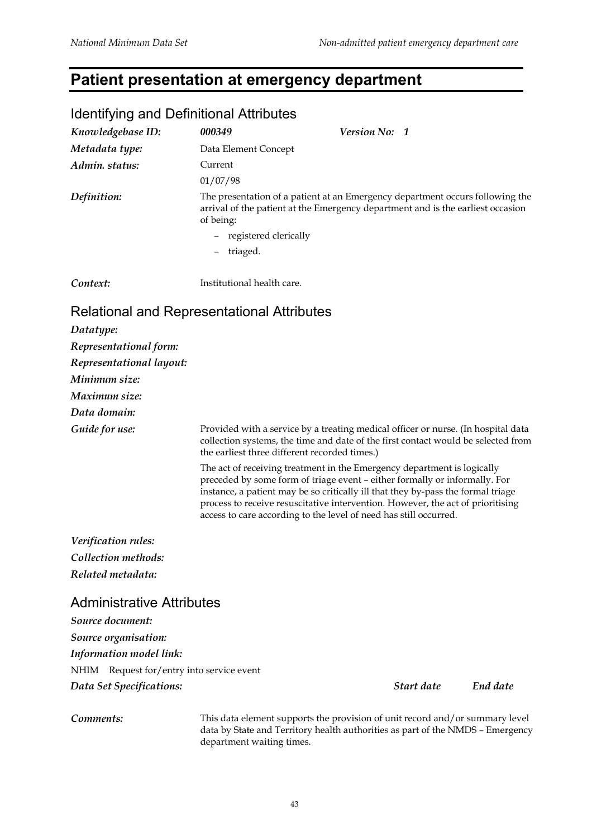#### **Patient presentation at emergency department**

#### Identifying and Definitional Attributes *Knowledgebase ID: 000349 Version No: 1 Metadata type:* Data Element Concept *Admin. status:* Current 01/07/98 *Definition:* The presentation of a patient at an Emergency department occurs following the arrival of the patient at the Emergency department and is the earliest occasion of being: − registered clerically − triaged. *Context:* Institutional health care. Relational and Representational Attributes *Datatype: Representational form: Representational layout: Minimum size: Maximum size: Data domain: Guide for use:* Provided with a service by a treating medical officer or nurse. (In hospital data collection systems, the time and date of the first contact would be selected from the earliest three different recorded times.) The act of receiving treatment in the Emergency department is logically preceded by some form of triage event – either formally or informally. For instance, a patient may be so critically ill that they by-pass the formal triage process to receive resuscitative intervention. However, the act of prioritising access to care according to the level of need has still occurred. *Verification rules: Collection methods: Related metadata:* Administrative Attributes *Source document: Source organisation: Information model link:* NHIM Request for/entry into service event *Data Set Specifications: Start date End date*

**Comments:** This data element supports the provision of unit record and/or summary level data by State and Territory health authorities as part of the NMDS – Emergency department waiting times.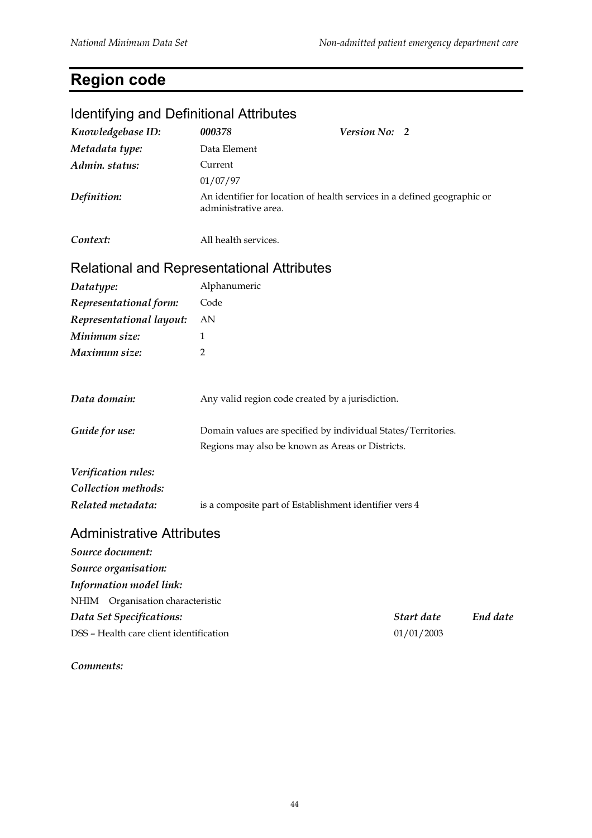# **Region code**

# Identifying and Definitional Attributes *Knowledgebase ID: 000378 Version No: 2 Metadata type:* Data Element *Admin. status:* Current 01/07/97 *Definition:* An identifier for location of health services in a defined geographic or administrative area. *Context:* All health services. Relational and Representational Attributes *Datatype:* Alphanumeric *Representational form:* Code *Representational layout:* AN *Minimum size:* 1 *Maximum size:* 2 *Data domain:* Any valid region code created by a jurisdiction. **Guide for use:** Domain values are specified by individual States/Territories. Regions may also be known as Areas or Districts. *Verification rules: Collection methods: Related metadata:* is a composite part of Establishment identifier vers 4 Administrative Attributes *Source document: Source organisation: Information model link:* NHIM Organisation characteristic

*Data Set Specifications: Start date End date* DSS – Health care client identification 01/01/2003

#### *Comments:*

# 44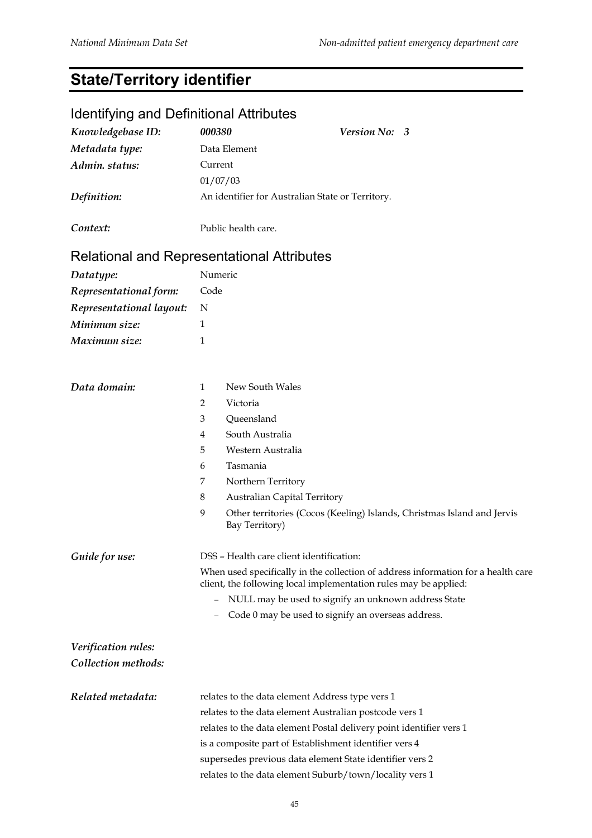# **State/Territory identifier**

# Identifying and Definitional Attributes

| Knowledgebase ID:        | 000380                                                              | Version No: 3                                                                     |
|--------------------------|---------------------------------------------------------------------|-----------------------------------------------------------------------------------|
| Metadata type:           | Data Element                                                        |                                                                                   |
| Admin. status:           | Current                                                             |                                                                                   |
|                          | 01/07/03                                                            |                                                                                   |
| Definition:              | An identifier for Australian State or Territory.                    |                                                                                   |
| Context:                 | Public health care.                                                 |                                                                                   |
|                          | <b>Relational and Representational Attributes</b>                   |                                                                                   |
| Datatype:                | Numeric                                                             |                                                                                   |
| Representational form:   | Code                                                                |                                                                                   |
| Representational layout: | N                                                                   |                                                                                   |
| Minimum size:            | 1                                                                   |                                                                                   |
| Maximum size:            | 1                                                                   |                                                                                   |
|                          |                                                                     |                                                                                   |
| Data domain:             | New South Wales<br>$\mathbf{1}$                                     |                                                                                   |
|                          | Victoria<br>2                                                       |                                                                                   |
|                          | Queensland<br>3                                                     |                                                                                   |
|                          | South Australia<br>4                                                |                                                                                   |
|                          | 5<br>Western Australia                                              |                                                                                   |
|                          | Tasmania<br>6                                                       |                                                                                   |
|                          | Northern Territory<br>7                                             |                                                                                   |
|                          | <b>Australian Capital Territory</b><br>8                            |                                                                                   |
|                          | 9<br>Bay Territory)                                                 | Other territories (Cocos (Keeling) Islands, Christmas Island and Jervis           |
| Guide for use:           | DSS - Health care client identification:                            |                                                                                   |
|                          | client, the following local implementation rules may be applied:    | When used specifically in the collection of address information for a health care |
|                          | $\qquad \qquad -$                                                   | NULL may be used to signify an unknown address State                              |
|                          | Code 0 may be used to signify an overseas address.                  |                                                                                   |
| Verification rules:      |                                                                     |                                                                                   |
| Collection methods:      |                                                                     |                                                                                   |
| Related metadata:        | relates to the data element Address type vers 1                     |                                                                                   |
|                          | relates to the data element Australian postcode vers 1              |                                                                                   |
|                          | relates to the data element Postal delivery point identifier vers 1 |                                                                                   |
|                          | is a composite part of Establishment identifier vers 4              |                                                                                   |
|                          | supersedes previous data element State identifier vers 2            |                                                                                   |
|                          | relates to the data element Suburb/town/locality vers 1             |                                                                                   |